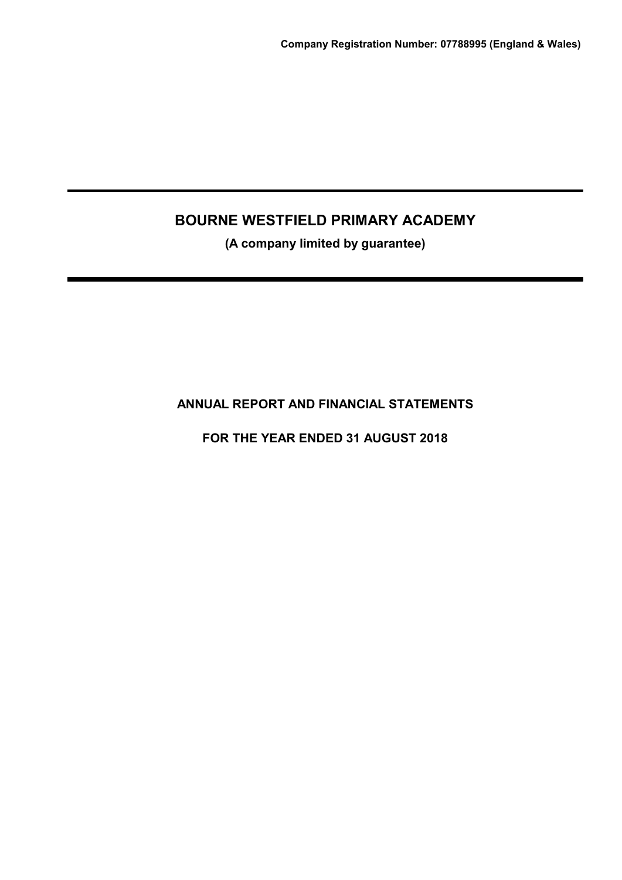(A company limited by guarantee)

ANNUAL REPORT AND FINANCIAL STATEMENTS

FOR THE YEAR ENDED 31 AUGUST 2018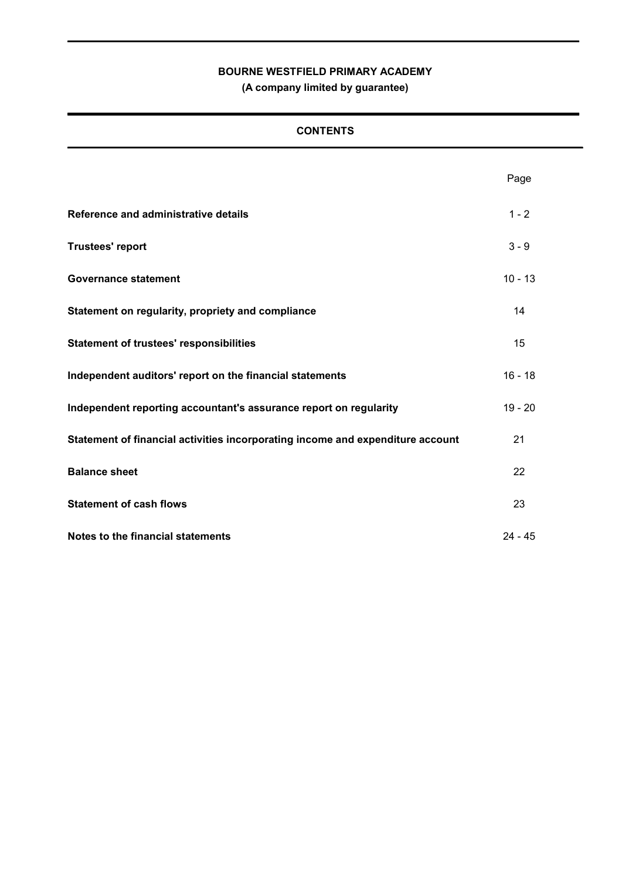(A company limited by guarantee)

# **CONTENTS**

|                                                                                | Page      |
|--------------------------------------------------------------------------------|-----------|
| Reference and administrative details                                           | $1 - 2$   |
| <b>Trustees' report</b>                                                        | $3 - 9$   |
| <b>Governance statement</b>                                                    | $10 - 13$ |
| Statement on regularity, propriety and compliance                              | 14        |
| <b>Statement of trustees' responsibilities</b>                                 | 15        |
| Independent auditors' report on the financial statements                       | $16 - 18$ |
| Independent reporting accountant's assurance report on regularity              | $19 - 20$ |
| Statement of financial activities incorporating income and expenditure account | 21        |
| <b>Balance sheet</b>                                                           | 22        |
| <b>Statement of cash flows</b>                                                 | 23        |
| Notes to the financial statements                                              | $24 - 45$ |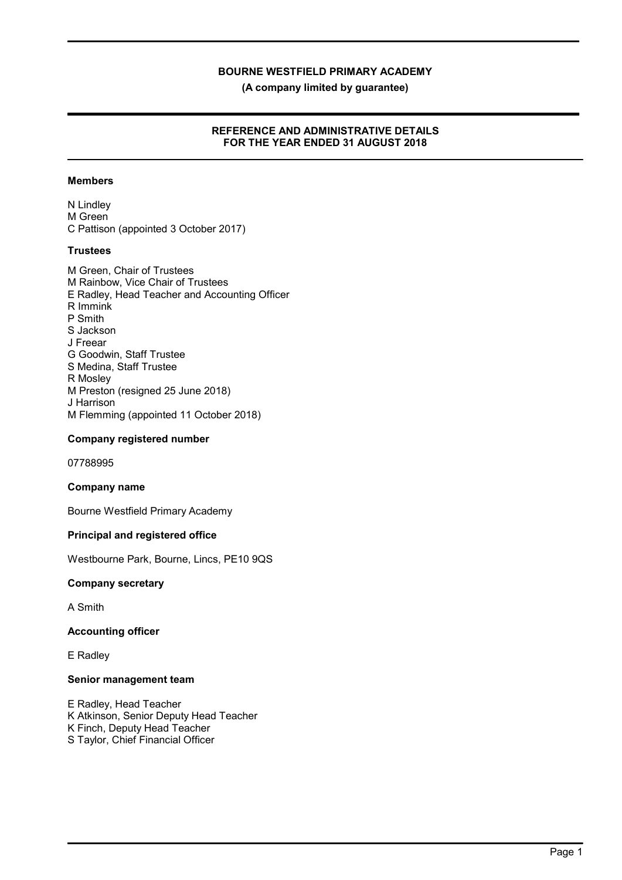(A company limited by guarantee)

### REFERENCE AND ADMINISTRATIVE DETAILS FOR THE YEAR ENDED 31 AUGUST 2018

### Members

N Lindley M Green C Pattison (appointed 3 October 2017)

### **Trustees**

M Green, Chair of Trustees M Rainbow, Vice Chair of Trustees E Radley, Head Teacher and Accounting Officer R Immink P Smith S Jackson J Freear G Goodwin, Staff Trustee S Medina, Staff Trustee R Mosley M Preston (resigned 25 June 2018) J Harrison M Flemming (appointed 11 October 2018)

### Company registered number

07788995

#### Company name

Bourne Westfield Primary Academy

### Principal and registered office

Westbourne Park, Bourne, Lincs, PE10 9QS

#### Company secretary

A Smith

### Accounting officer

E Radley

### Senior management team

E Radley, Head Teacher K Atkinson, Senior Deputy Head Teacher K Finch, Deputy Head Teacher S Taylor, Chief Financial Officer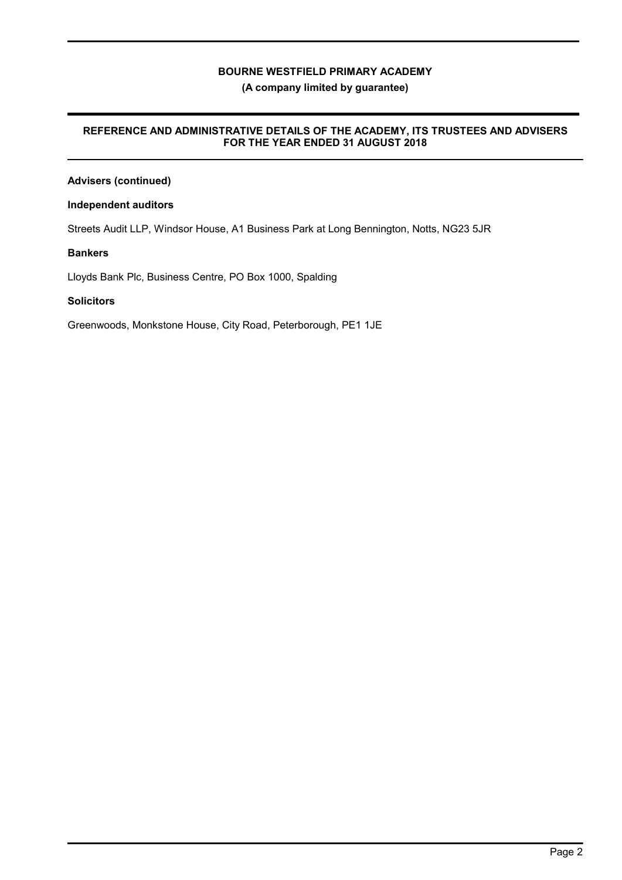### (A company limited by guarantee)

### REFERENCE AND ADMINISTRATIVE DETAILS OF THE ACADEMY, ITS TRUSTEES AND ADVISERS FOR THE YEAR ENDED 31 AUGUST 2018

# Advisers (continued)

### Independent auditors

Streets Audit LLP, Windsor House, A1 Business Park at Long Bennington, Notts, NG23 5JR

### Bankers

Lloyds Bank Plc, Business Centre, PO Box 1000, Spalding

### **Solicitors**

Greenwoods, Monkstone House, City Road, Peterborough, PE1 1JE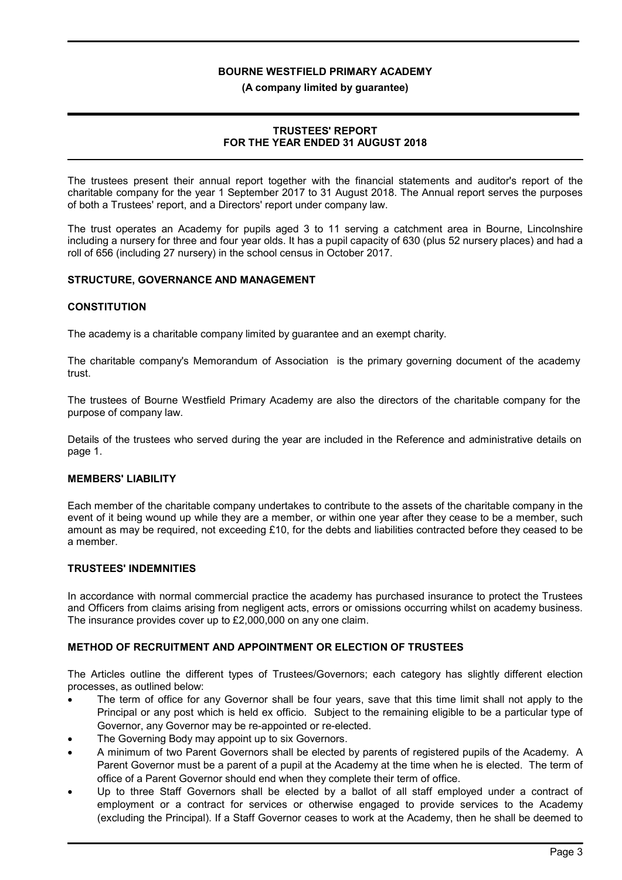#### (A company limited by guarantee)

### TRUSTEES' REPORT FOR THE YEAR ENDED 31 AUGUST 2018

The trustees present their annual report together with the financial statements and auditor's report of the charitable company for the year 1 September 2017 to 31 August 2018. The Annual report serves the purposes of both a Trustees' report, and a Directors' report under company law.

The trust operates an Academy for pupils aged 3 to 11 serving a catchment area in Bourne, Lincolnshire including a nursery for three and four year olds. It has a pupil capacity of 630 (plus 52 nursery places) and had a roll of 656 (including 27 nursery) in the school census in October 2017.

### STRUCTURE, GOVERNANCE AND MANAGEMENT

#### **CONSTITUTION**

The academy is a charitable company limited by guarantee and an exempt charity.

The charitable company's Memorandum of Association is the primary governing document of the academy trust.

The trustees of Bourne Westfield Primary Academy are also the directors of the charitable company for the purpose of company law.

Details of the trustees who served during the year are included in the Reference and administrative details on page 1.

### MEMBERS' LIABILITY

Each member of the charitable company undertakes to contribute to the assets of the charitable company in the event of it being wound up while they are a member, or within one year after they cease to be a member, such amount as may be required, not exceeding £10, for the debts and liabilities contracted before they ceased to be a member.

### TRUSTEES' INDEMNITIES

In accordance with normal commercial practice the academy has purchased insurance to protect the Trustees and Officers from claims arising from negligent acts, errors or omissions occurring whilst on academy business. The insurance provides cover up to £2,000,000 on any one claim.

### METHOD OF RECRUITMENT AND APPOINTMENT OR ELECTION OF TRUSTEES

The Articles outline the different types of Trustees/Governors; each category has slightly different election processes, as outlined below:

- The term of office for any Governor shall be four years, save that this time limit shall not apply to the Principal or any post which is held ex officio. Subject to the remaining eligible to be a particular type of Governor, any Governor may be re-appointed or re-elected.
- The Governing Body may appoint up to six Governors.
- A minimum of two Parent Governors shall be elected by parents of registered pupils of the Academy. A Parent Governor must be a parent of a pupil at the Academy at the time when he is elected. The term of office of a Parent Governor should end when they complete their term of office.
- Up to three Staff Governors shall be elected by a ballot of all staff employed under a contract of employment or a contract for services or otherwise engaged to provide services to the Academy (excluding the Principal). If a Staff Governor ceases to work at the Academy, then he shall be deemed to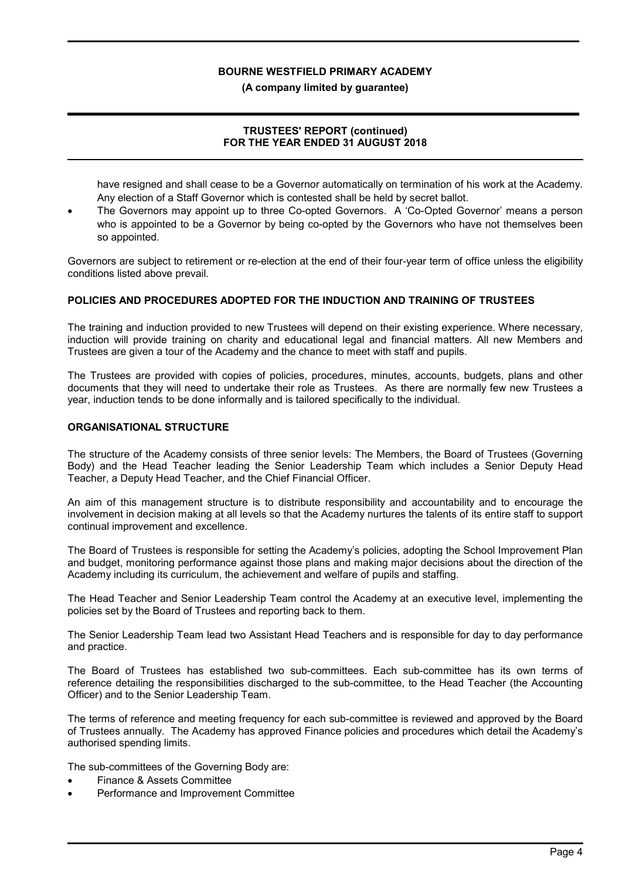#### (A company limited by guarantee)

### TRUSTEES' REPORT (continued) FOR THE YEAR ENDED 31 AUGUST 2018

have resigned and shall cease to be a Governor automatically on termination of his work at the Academy. Any election of a Staff Governor which is contested shall be held by secret ballot.

 The Governors may appoint up to three Co-opted Governors. A 'Co-Opted Governor' means a person who is appointed to be a Governor by being co-opted by the Governors who have not themselves been so appointed.

Governors are subject to retirement or re-election at the end of their four-year term of office unless the eligibility conditions listed above prevail.

### POLICIES AND PROCEDURES ADOPTED FOR THE INDUCTION AND TRAINING OF TRUSTEES

The training and induction provided to new Trustees will depend on their existing experience. Where necessary, induction will provide training on charity and educational legal and financial matters. All new Members and Trustees are given a tour of the Academy and the chance to meet with staff and pupils.

The Trustees are provided with copies of policies, procedures, minutes, accounts, budgets, plans and other documents that they will need to undertake their role as Trustees. As there are normally few new Trustees a year, induction tends to be done informally and is tailored specifically to the individual.

#### ORGANISATIONAL STRUCTURE

The structure of the Academy consists of three senior levels: The Members, the Board of Trustees (Governing Body) and the Head Teacher leading the Senior Leadership Team which includes a Senior Deputy Head Teacher, a Deputy Head Teacher, and the Chief Financial Officer.

An aim of this management structure is to distribute responsibility and accountability and to encourage the involvement in decision making at all levels so that the Academy nurtures the talents of its entire staff to support continual improvement and excellence.

The Board of Trustees is responsible for setting the Academy's policies, adopting the School Improvement Plan and budget, monitoring performance against those plans and making major decisions about the direction of the Academy including its curriculum, the achievement and welfare of pupils and staffing.

The Head Teacher and Senior Leadership Team control the Academy at an executive level, implementing the policies set by the Board of Trustees and reporting back to them.

The Senior Leadership Team lead two Assistant Head Teachers and is responsible for day to day performance and practice.

The Board of Trustees has established two sub-committees. Each sub-committee has its own terms of reference detailing the responsibilities discharged to the sub-committee, to the Head Teacher (the Accounting Officer) and to the Senior Leadership Team.

The terms of reference and meeting frequency for each sub-committee is reviewed and approved by the Board of Trustees annually. The Academy has approved Finance policies and procedures which detail the Academy's authorised spending limits.

The sub-committees of the Governing Body are:

- Finance & Assets Committee
- Performance and Improvement Committee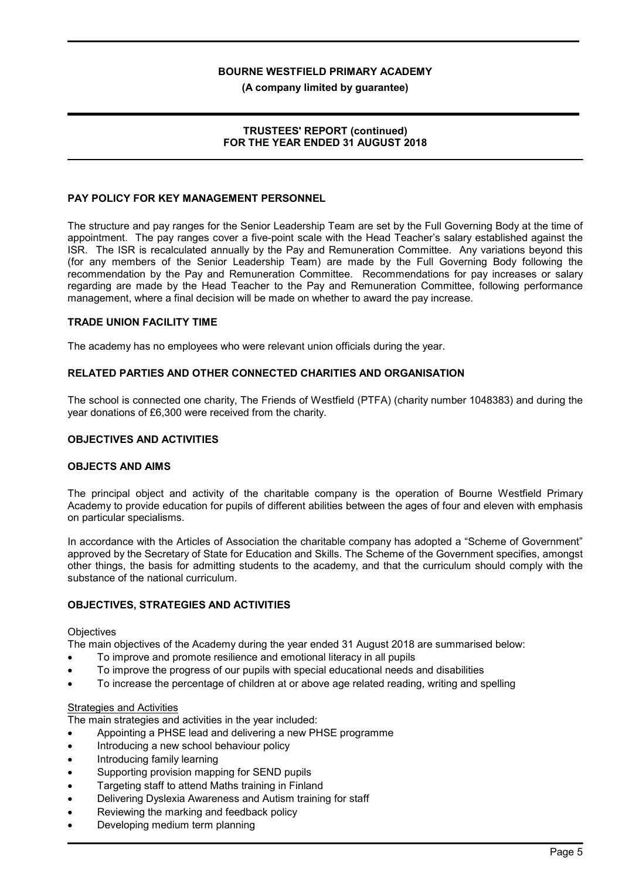(A company limited by guarantee)

### TRUSTEES' REPORT (continued) FOR THE YEAR ENDED 31 AUGUST 2018

### PAY POLICY FOR KEY MANAGEMENT PERSONNEL

The structure and pay ranges for the Senior Leadership Team are set by the Full Governing Body at the time of appointment. The pay ranges cover a five-point scale with the Head Teacher's salary established against the ISR. The ISR is recalculated annually by the Pay and Remuneration Committee. Any variations beyond this (for any members of the Senior Leadership Team) are made by the Full Governing Body following the recommendation by the Pay and Remuneration Committee. Recommendations for pay increases or salary regarding are made by the Head Teacher to the Pay and Remuneration Committee, following performance management, where a final decision will be made on whether to award the pay increase.

#### TRADE UNION FACILITY TIME

The academy has no employees who were relevant union officials during the year.

### RELATED PARTIES AND OTHER CONNECTED CHARITIES AND ORGANISATION

The school is connected one charity, The Friends of Westfield (PTFA) (charity number 1048383) and during the year donations of £6,300 were received from the charity.

#### OBJECTIVES AND ACTIVITIES

#### OBJECTS AND AIMS

The principal object and activity of the charitable company is the operation of Bourne Westfield Primary Academy to provide education for pupils of different abilities between the ages of four and eleven with emphasis on particular specialisms.

In accordance with the Articles of Association the charitable company has adopted a "Scheme of Government" approved by the Secretary of State for Education and Skills. The Scheme of the Government specifies, amongst other things, the basis for admitting students to the academy, and that the curriculum should comply with the substance of the national curriculum.

# OBJECTIVES, STRATEGIES AND ACTIVITIES

#### **Objectives**

The main objectives of the Academy during the year ended 31 August 2018 are summarised below:

- To improve and promote resilience and emotional literacy in all pupils
- To improve the progress of our pupils with special educational needs and disabilities
- To increase the percentage of children at or above age related reading, writing and spelling

#### Strategies and Activities

The main strategies and activities in the year included:

- Appointing a PHSE lead and delivering a new PHSE programme
- Introducing a new school behaviour policy
- Introducing family learning
- Supporting provision mapping for SEND pupils
- Targeting staff to attend Maths training in Finland
- Delivering Dyslexia Awareness and Autism training for staff
- Reviewing the marking and feedback policy
- Developing medium term planning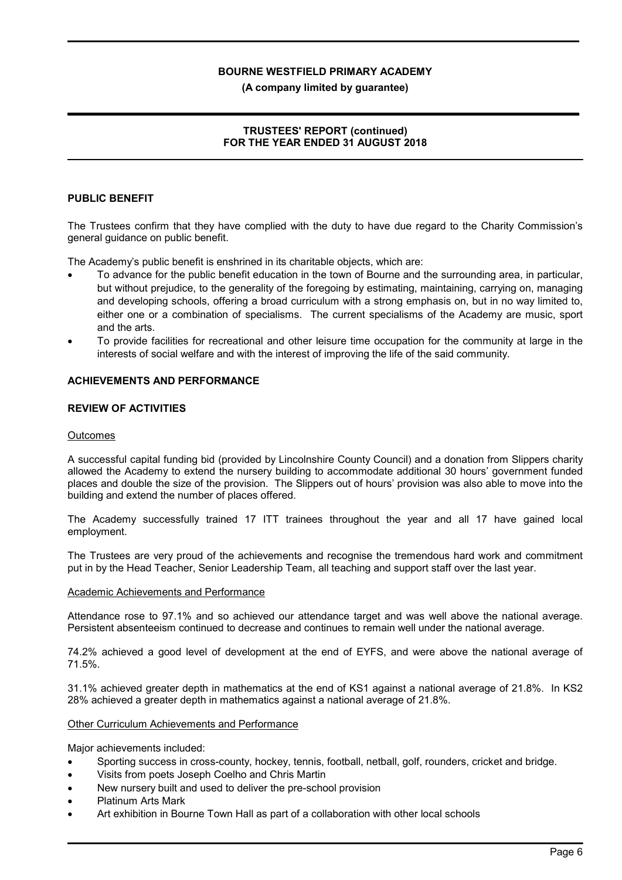#### (A company limited by guarantee)

### TRUSTEES' REPORT (continued) FOR THE YEAR ENDED 31 AUGUST 2018

### PUBLIC BENEFIT

The Trustees confirm that they have complied with the duty to have due regard to the Charity Commission's general guidance on public benefit.

The Academy's public benefit is enshrined in its charitable objects, which are:

- To advance for the public benefit education in the town of Bourne and the surrounding area, in particular, but without prejudice, to the generality of the foregoing by estimating, maintaining, carrying on, managing and developing schools, offering a broad curriculum with a strong emphasis on, but in no way limited to, either one or a combination of specialisms. The current specialisms of the Academy are music, sport and the arts.
- To provide facilities for recreational and other leisure time occupation for the community at large in the interests of social welfare and with the interest of improving the life of the said community.

#### ACHIEVEMENTS AND PERFORMANCE

### REVIEW OF ACTIVITIES

#### **Outcomes**

A successful capital funding bid (provided by Lincolnshire County Council) and a donation from Slippers charity allowed the Academy to extend the nursery building to accommodate additional 30 hours' government funded places and double the size of the provision. The Slippers out of hours' provision was also able to move into the building and extend the number of places offered.

The Academy successfully trained 17 ITT trainees throughout the year and all 17 have gained local employment.

The Trustees are very proud of the achievements and recognise the tremendous hard work and commitment put in by the Head Teacher, Senior Leadership Team, all teaching and support staff over the last year.

#### Academic Achievements and Performance

Attendance rose to 97.1% and so achieved our attendance target and was well above the national average. Persistent absenteeism continued to decrease and continues to remain well under the national average.

74.2% achieved a good level of development at the end of EYFS, and were above the national average of 71.5%.

31.1% achieved greater depth in mathematics at the end of KS1 against a national average of 21.8%. In KS2 28% achieved a greater depth in mathematics against a national average of 21.8%.

#### Other Curriculum Achievements and Performance

Major achievements included:

- Sporting success in cross-county, hockey, tennis, football, netball, golf, rounders, cricket and bridge.
- Visits from poets Joseph Coelho and Chris Martin
- New nursery built and used to deliver the pre-school provision
- Platinum Arts Mark
- Art exhibition in Bourne Town Hall as part of a collaboration with other local schools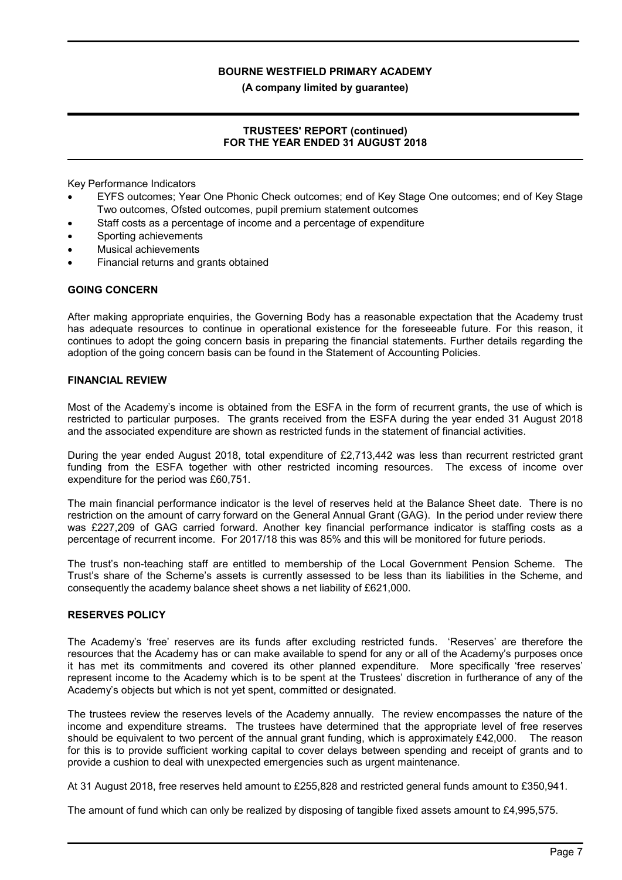(A company limited by guarantee)

### TRUSTEES' REPORT (continued) FOR THE YEAR ENDED 31 AUGUST 2018

Key Performance Indicators

- EYFS outcomes; Year One Phonic Check outcomes; end of Key Stage One outcomes; end of Key Stage Two outcomes, Ofsted outcomes, pupil premium statement outcomes
- Staff costs as a percentage of income and a percentage of expenditure
- Sporting achievements
- Musical achievements
- Financial returns and grants obtained

#### GOING CONCERN

After making appropriate enquiries, the Governing Body has a reasonable expectation that the Academy trust has adequate resources to continue in operational existence for the foreseeable future. For this reason, it continues to adopt the going concern basis in preparing the financial statements. Further details regarding the adoption of the going concern basis can be found in the Statement of Accounting Policies.

#### FINANCIAL REVIEW

Most of the Academy's income is obtained from the ESFA in the form of recurrent grants, the use of which is restricted to particular purposes. The grants received from the ESFA during the year ended 31 August 2018 and the associated expenditure are shown as restricted funds in the statement of financial activities.

During the year ended August 2018, total expenditure of £2,713,442 was less than recurrent restricted grant funding from the ESFA together with other restricted incoming resources. The excess of income over expenditure for the period was £60,751.

The main financial performance indicator is the level of reserves held at the Balance Sheet date. There is no restriction on the amount of carry forward on the General Annual Grant (GAG). In the period under review there was £227,209 of GAG carried forward. Another key financial performance indicator is staffing costs as a percentage of recurrent income. For 2017/18 this was 85% and this will be monitored for future periods.

The trust's non-teaching staff are entitled to membership of the Local Government Pension Scheme. The Trust's share of the Scheme's assets is currently assessed to be less than its liabilities in the Scheme, and consequently the academy balance sheet shows a net liability of £621,000.

#### RESERVES POLICY

The Academy's 'free' reserves are its funds after excluding restricted funds. 'Reserves' are therefore the resources that the Academy has or can make available to spend for any or all of the Academy's purposes once it has met its commitments and covered its other planned expenditure. More specifically 'free reserves' represent income to the Academy which is to be spent at the Trustees' discretion in furtherance of any of the Academy's objects but which is not yet spent, committed or designated.

The trustees review the reserves levels of the Academy annually. The review encompasses the nature of the income and expenditure streams. The trustees have determined that the appropriate level of free reserves should be equivalent to two percent of the annual grant funding, which is approximately £42,000. The reason for this is to provide sufficient working capital to cover delays between spending and receipt of grants and to provide a cushion to deal with unexpected emergencies such as urgent maintenance.

At 31 August 2018, free reserves held amount to £255,828 and restricted general funds amount to £350,941.

The amount of fund which can only be realized by disposing of tangible fixed assets amount to £4,995,575.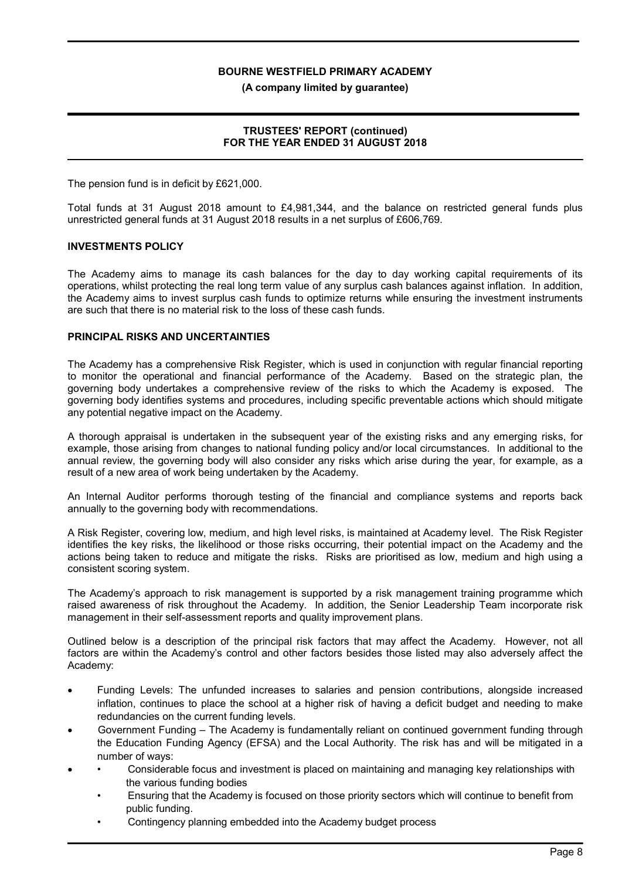(A company limited by guarantee)

### TRUSTEES' REPORT (continued) FOR THE YEAR ENDED 31 AUGUST 2018

The pension fund is in deficit by £621,000.

Total funds at 31 August 2018 amount to £4,981,344, and the balance on restricted general funds plus unrestricted general funds at 31 August 2018 results in a net surplus of £606,769.

#### INVESTMENTS POLICY

The Academy aims to manage its cash balances for the day to day working capital requirements of its operations, whilst protecting the real long term value of any surplus cash balances against inflation. In addition, the Academy aims to invest surplus cash funds to optimize returns while ensuring the investment instruments are such that there is no material risk to the loss of these cash funds.

#### PRINCIPAL RISKS AND UNCERTAINTIES

The Academy has a comprehensive Risk Register, which is used in conjunction with regular financial reporting to monitor the operational and financial performance of the Academy. Based on the strategic plan, the governing body undertakes a comprehensive review of the risks to which the Academy is exposed. The governing body identifies systems and procedures, including specific preventable actions which should mitigate any potential negative impact on the Academy.

A thorough appraisal is undertaken in the subsequent year of the existing risks and any emerging risks, for example, those arising from changes to national funding policy and/or local circumstances. In additional to the annual review, the governing body will also consider any risks which arise during the year, for example, as a result of a new area of work being undertaken by the Academy.

An Internal Auditor performs thorough testing of the financial and compliance systems and reports back annually to the governing body with recommendations.

A Risk Register, covering low, medium, and high level risks, is maintained at Academy level. The Risk Register identifies the key risks, the likelihood or those risks occurring, their potential impact on the Academy and the actions being taken to reduce and mitigate the risks. Risks are prioritised as low, medium and high using a consistent scoring system.

The Academy's approach to risk management is supported by a risk management training programme which raised awareness of risk throughout the Academy. In addition, the Senior Leadership Team incorporate risk management in their self-assessment reports and quality improvement plans.

Outlined below is a description of the principal risk factors that may affect the Academy. However, not all factors are within the Academy's control and other factors besides those listed may also adversely affect the Academy:

- Funding Levels: The unfunded increases to salaries and pension contributions, alongside increased inflation, continues to place the school at a higher risk of having a deficit budget and needing to make redundancies on the current funding levels.
- Government Funding The Academy is fundamentally reliant on continued government funding through the Education Funding Agency (EFSA) and the Local Authority. The risk has and will be mitigated in a number of ways:
- Considerable focus and investment is placed on maintaining and managing key relationships with the various funding bodies
	- Ensuring that the Academy is focused on those priority sectors which will continue to benefit from public funding.
	- Contingency planning embedded into the Academy budget process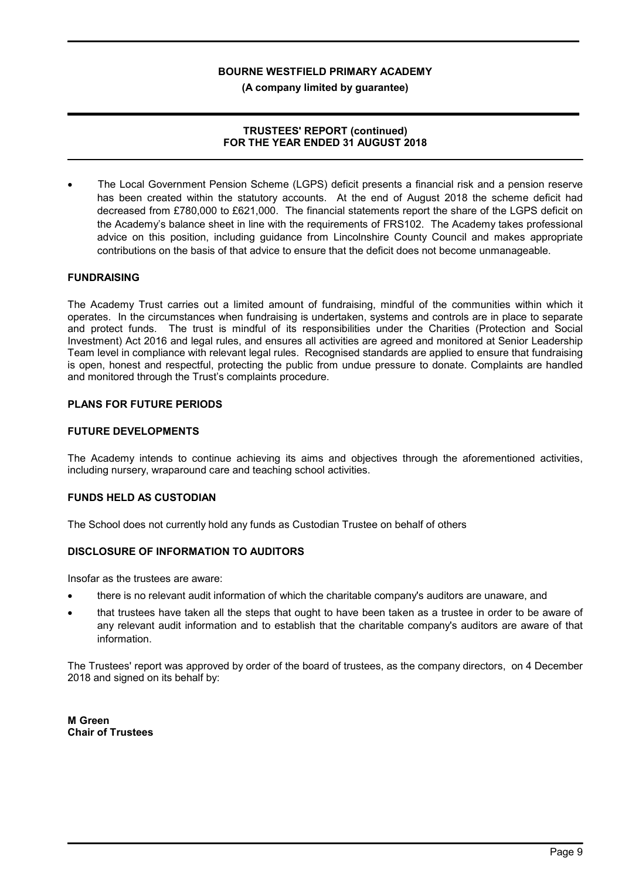(A company limited by guarantee)

### TRUSTEES' REPORT (continued) FOR THE YEAR ENDED 31 AUGUST 2018

 The Local Government Pension Scheme (LGPS) deficit presents a financial risk and a pension reserve has been created within the statutory accounts. At the end of August 2018 the scheme deficit had decreased from £780,000 to £621,000. The financial statements report the share of the LGPS deficit on the Academy's balance sheet in line with the requirements of FRS102. The Academy takes professional advice on this position, including guidance from Lincolnshire County Council and makes appropriate contributions on the basis of that advice to ensure that the deficit does not become unmanageable.

### FUNDRAISING

The Academy Trust carries out a limited amount of fundraising, mindful of the communities within which it operates. In the circumstances when fundraising is undertaken, systems and controls are in place to separate and protect funds. The trust is mindful of its responsibilities under the Charities (Protection and Social Investment) Act 2016 and legal rules, and ensures all activities are agreed and monitored at Senior Leadership Team level in compliance with relevant legal rules. Recognised standards are applied to ensure that fundraising is open, honest and respectful, protecting the public from undue pressure to donate. Complaints are handled and monitored through the Trust's complaints procedure.

### PLANS FOR FUTURE PERIODS

#### FUTURE DEVELOPMENTS

The Academy intends to continue achieving its aims and objectives through the aforementioned activities, including nursery, wraparound care and teaching school activities.

### FUNDS HELD AS CUSTODIAN

The School does not currently hold any funds as Custodian Trustee on behalf of others

### DISCLOSURE OF INFORMATION TO AUDITORS

Insofar as the trustees are aware:

- there is no relevant audit information of which the charitable company's auditors are unaware, and
- that trustees have taken all the steps that ought to have been taken as a trustee in order to be aware of any relevant audit information and to establish that the charitable company's auditors are aware of that information.

The Trustees' report was approved by order of the board of trustees, as the company directors, on 4 December 2018 and signed on its behalf by:

M Green Chair of Trustees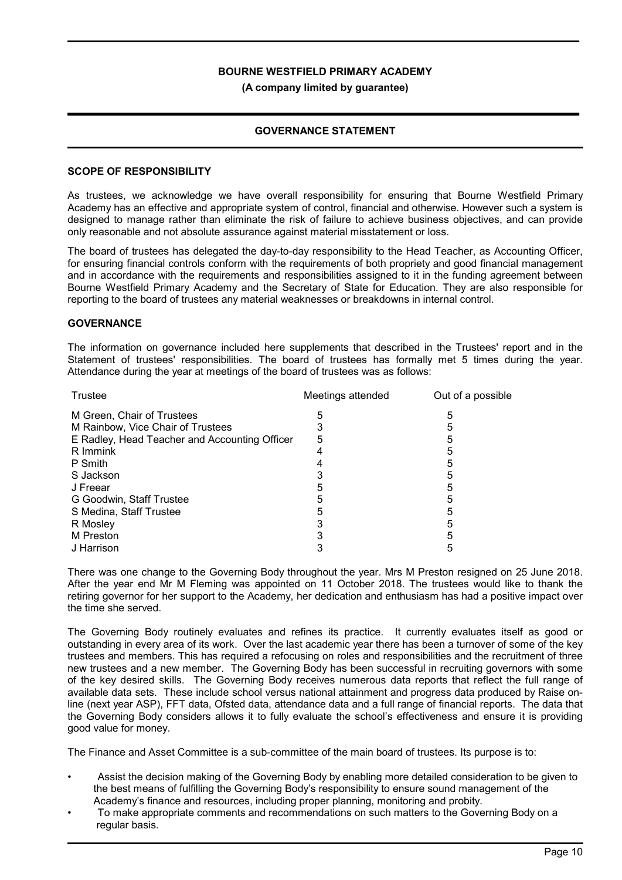(A company limited by guarantee)

### GOVERNANCE STATEMENT

#### SCOPE OF RESPONSIBILITY

As trustees, we acknowledge we have overall responsibility for ensuring that Bourne Westfield Primary Academy has an effective and appropriate system of control, financial and otherwise. However such a system is designed to manage rather than eliminate the risk of failure to achieve business objectives, and can provide only reasonable and not absolute assurance against material misstatement or loss.

The board of trustees has delegated the day-to-day responsibility to the Head Teacher, as Accounting Officer, for ensuring financial controls conform with the requirements of both propriety and good financial management and in accordance with the requirements and responsibilities assigned to it in the funding agreement between Bourne Westfield Primary Academy and the Secretary of State for Education. They are also responsible for reporting to the board of trustees any material weaknesses or breakdowns in internal control.

### **GOVERNANCE**

The information on governance included here supplements that described in the Trustees' report and in the Statement of trustees' responsibilities. The board of trustees has formally met 5 times during the year. Attendance during the year at meetings of the board of trustees was as follows:

| Trustee                                       | Meetings attended | Out of a possible |
|-----------------------------------------------|-------------------|-------------------|
| M Green, Chair of Trustees                    | 5                 | 5                 |
| M Rainbow, Vice Chair of Trustees             |                   |                   |
| E Radley, Head Teacher and Accounting Officer | 5                 |                   |
| R Immink                                      |                   | 5                 |
| P Smith                                       |                   |                   |
| S Jackson                                     |                   |                   |
| J Freear                                      |                   |                   |
| G Goodwin, Staff Trustee                      | 5                 | 5                 |
| S Medina, Staff Trustee                       | 5                 | 5                 |
| R Mosley                                      |                   | 5                 |
| M Preston                                     |                   |                   |
| J Harrison                                    |                   |                   |

There was one change to the Governing Body throughout the year. Mrs M Preston resigned on 25 June 2018. After the year end Mr M Fleming was appointed on 11 October 2018. The trustees would like to thank the retiring governor for her support to the Academy, her dedication and enthusiasm has had a positive impact over the time she served.

The Governing Body routinely evaluates and refines its practice. It currently evaluates itself as good or outstanding in every area of its work. Over the last academic year there has been a turnover of some of the key trustees and members. This has required a refocusing on roles and responsibilities and the recruitment of three new trustees and a new member. The Governing Body has been successful in recruiting governors with some of the key desired skills. The Governing Body receives numerous data reports that reflect the full range of available data sets. These include school versus national attainment and progress data produced by Raise online (next year ASP), FFT data, Ofsted data, attendance data and a full range of financial reports. The data that the Governing Body considers allows it to fully evaluate the school's effectiveness and ensure it is providing good value for money.

The Finance and Asset Committee is a sub-committee of the main board of trustees. Its purpose is to:

- Assist the decision making of the Governing Body by enabling more detailed consideration to be given to the best means of fulfilling the Governing Body's responsibility to ensure sound management of the Academy's finance and resources, including proper planning, monitoring and probity.
- To make appropriate comments and recommendations on such matters to the Governing Body on a regular basis.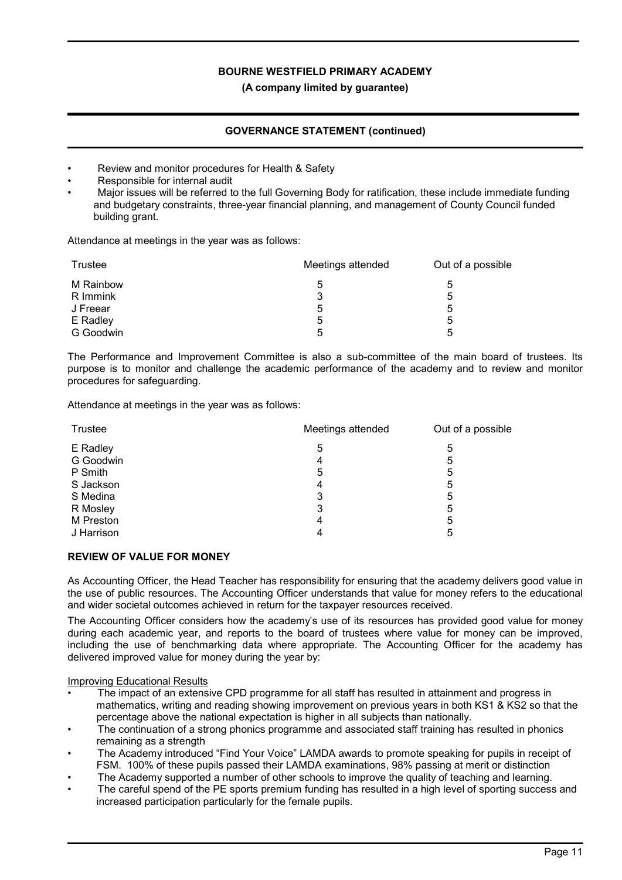### (A company limited by guarantee)

# GOVERNANCE STATEMENT (continued)

- Review and monitor procedures for Health & Safety
- Responsible for internal audit
- Major issues will be referred to the full Governing Body for ratification, these include immediate funding and budgetary constraints, three-year financial planning, and management of County Council funded building grant.

Attendance at meetings in the year was as follows:

| Trustee   | Meetings attended | Out of a possible |  |
|-----------|-------------------|-------------------|--|
| M Rainbow | 5                 | 5                 |  |
| R Immink  | 3                 | 5                 |  |
| J Freear  | 5                 | 5                 |  |
| E Radley  | 5                 | 5                 |  |
| G Goodwin | 5                 | 5                 |  |

The Performance and Improvement Committee is also a sub-committee of the main board of trustees. Its purpose is to monitor and challenge the academic performance of the academy and to review and monitor procedures for safeguarding.

Attendance at meetings in the year was as follows:

| Trustee    | Meetings attended | Out of a possible |  |
|------------|-------------------|-------------------|--|
| E Radley   | 5                 | 5                 |  |
| G Goodwin  | 4                 | 5                 |  |
| P Smith    | 5                 | 5                 |  |
| S Jackson  | 4                 | 5                 |  |
| S Medina   | 3                 | 5                 |  |
| R Mosley   | 3                 | 5                 |  |
| M Preston  | 4                 | 5                 |  |
| J Harrison | 4                 | 5                 |  |

### REVIEW OF VALUE FOR MONEY

As Accounting Officer, the Head Teacher has responsibility for ensuring that the academy delivers good value in the use of public resources. The Accounting Officer understands that value for money refers to the educational and wider societal outcomes achieved in return for the taxpayer resources received.

The Accounting Officer considers how the academy's use of its resources has provided good value for money during each academic year, and reports to the board of trustees where value for money can be improved, including the use of benchmarking data where appropriate. The Accounting Officer for the academy has delivered improved value for money during the year by:

### Improving Educational Results

- The impact of an extensive CPD programme for all staff has resulted in attainment and progress in mathematics, writing and reading showing improvement on previous years in both KS1 & KS2 so that the percentage above the national expectation is higher in all subjects than nationally.
- The continuation of a strong phonics programme and associated staff training has resulted in phonics remaining as a strength
- The Academy introduced "Find Your Voice" LAMDA awards to promote speaking for pupils in receipt of FSM. 100% of these pupils passed their LAMDA examinations, 98% passing at merit or distinction
- The Academy supported a number of other schools to improve the quality of teaching and learning.
- The careful spend of the PE sports premium funding has resulted in a high level of sporting success and increased participation particularly for the female pupils.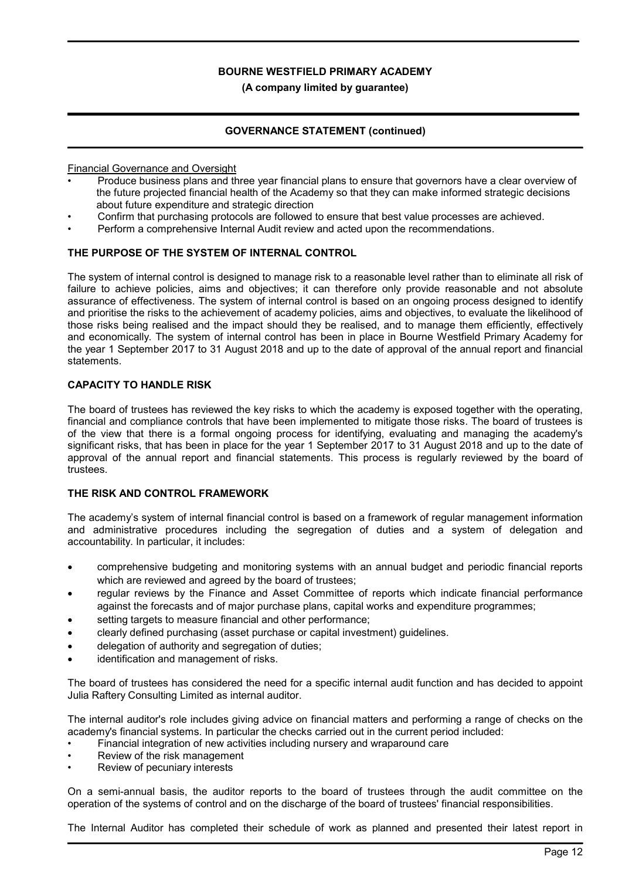#### (A company limited by guarantee)

### GOVERNANCE STATEMENT (continued)

Financial Governance and Oversight

- Produce business plans and three year financial plans to ensure that governors have a clear overview of the future projected financial health of the Academy so that they can make informed strategic decisions about future expenditure and strategic direction
- Confirm that purchasing protocols are followed to ensure that best value processes are achieved.
- Perform a comprehensive Internal Audit review and acted upon the recommendations.

### THE PURPOSE OF THE SYSTEM OF INTERNAL CONTROL

The system of internal control is designed to manage risk to a reasonable level rather than to eliminate all risk of failure to achieve policies, aims and objectives; it can therefore only provide reasonable and not absolute assurance of effectiveness. The system of internal control is based on an ongoing process designed to identify and prioritise the risks to the achievement of academy policies, aims and objectives, to evaluate the likelihood of those risks being realised and the impact should they be realised, and to manage them efficiently, effectively and economically. The system of internal control has been in place in Bourne Westfield Primary Academy for the year 1 September 2017 to 31 August 2018 and up to the date of approval of the annual report and financial statements.

#### CAPACITY TO HANDLE RISK

The board of trustees has reviewed the key risks to which the academy is exposed together with the operating, financial and compliance controls that have been implemented to mitigate those risks. The board of trustees is of the view that there is a formal ongoing process for identifying, evaluating and managing the academy's significant risks, that has been in place for the year 1 September 2017 to 31 August 2018 and up to the date of approval of the annual report and financial statements. This process is regularly reviewed by the board of trustees.

### THE RISK AND CONTROL FRAMEWORK

The academy's system of internal financial control is based on a framework of regular management information and administrative procedures including the segregation of duties and a system of delegation and accountability. In particular, it includes:

- comprehensive budgeting and monitoring systems with an annual budget and periodic financial reports which are reviewed and agreed by the board of trustees;
- regular reviews by the Finance and Asset Committee of reports which indicate financial performance against the forecasts and of major purchase plans, capital works and expenditure programmes;
- setting targets to measure financial and other performance;
- clearly defined purchasing (asset purchase or capital investment) guidelines.
- delegation of authority and segregation of duties;
- identification and management of risks.

The board of trustees has considered the need for a specific internal audit function and has decided to appoint Julia Raftery Consulting Limited as internal auditor.

The internal auditor's role includes giving advice on financial matters and performing a range of checks on the academy's financial systems. In particular the checks carried out in the current period included:

- Financial integration of new activities including nursery and wraparound care
- Review of the risk management
- Review of pecuniary interests

On a semi-annual basis, the auditor reports to the board of trustees through the audit committee on the operation of the systems of control and on the discharge of the board of trustees' financial responsibilities.

The Internal Auditor has completed their schedule of work as planned and presented their latest report in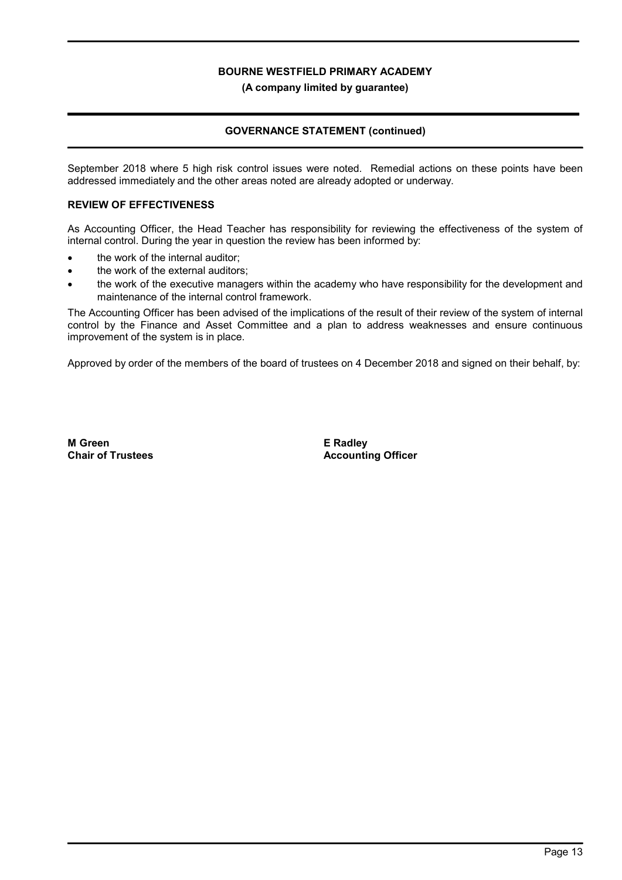(A company limited by guarantee)

### GOVERNANCE STATEMENT (continued)

September 2018 where 5 high risk control issues were noted. Remedial actions on these points have been addressed immediately and the other areas noted are already adopted or underway.

### REVIEW OF EFFECTIVENESS

As Accounting Officer, the Head Teacher has responsibility for reviewing the effectiveness of the system of internal control. During the year in question the review has been informed by:

- the work of the internal auditor;
- the work of the external auditors;
- the work of the executive managers within the academy who have responsibility for the development and maintenance of the internal control framework.

The Accounting Officer has been advised of the implications of the result of their review of the system of internal control by the Finance and Asset Committee and a plan to address weaknesses and ensure continuous improvement of the system is in place.

Approved by order of the members of the board of trustees on 4 December 2018 and signed on their behalf, by:

M Green Chair of Trustees E Radley Accounting Officer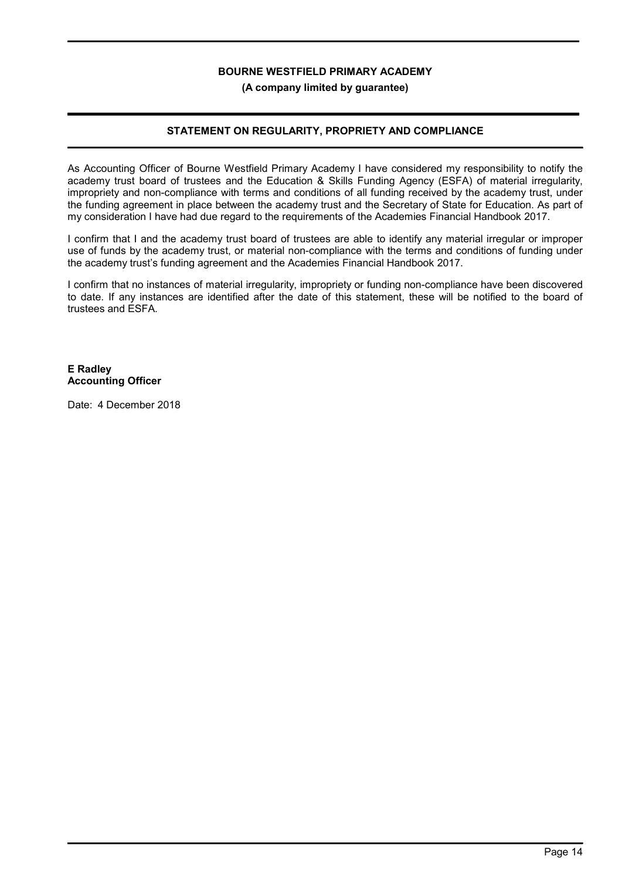(A company limited by guarantee)

# STATEMENT ON REGULARITY, PROPRIETY AND COMPLIANCE

As Accounting Officer of Bourne Westfield Primary Academy I have considered my responsibility to notify the academy trust board of trustees and the Education & Skills Funding Agency (ESFA) of material irregularity, impropriety and non-compliance with terms and conditions of all funding received by the academy trust, under the funding agreement in place between the academy trust and the Secretary of State for Education. As part of my consideration I have had due regard to the requirements of the Academies Financial Handbook 2017.

I confirm that I and the academy trust board of trustees are able to identify any material irregular or improper use of funds by the academy trust, or material non-compliance with the terms and conditions of funding under the academy trust's funding agreement and the Academies Financial Handbook 2017.

I confirm that no instances of material irregularity, impropriety or funding non-compliance have been discovered to date. If any instances are identified after the date of this statement, these will be notified to the board of trustees and ESFA.

### E Radley Accounting Officer

Date: 4 December 2018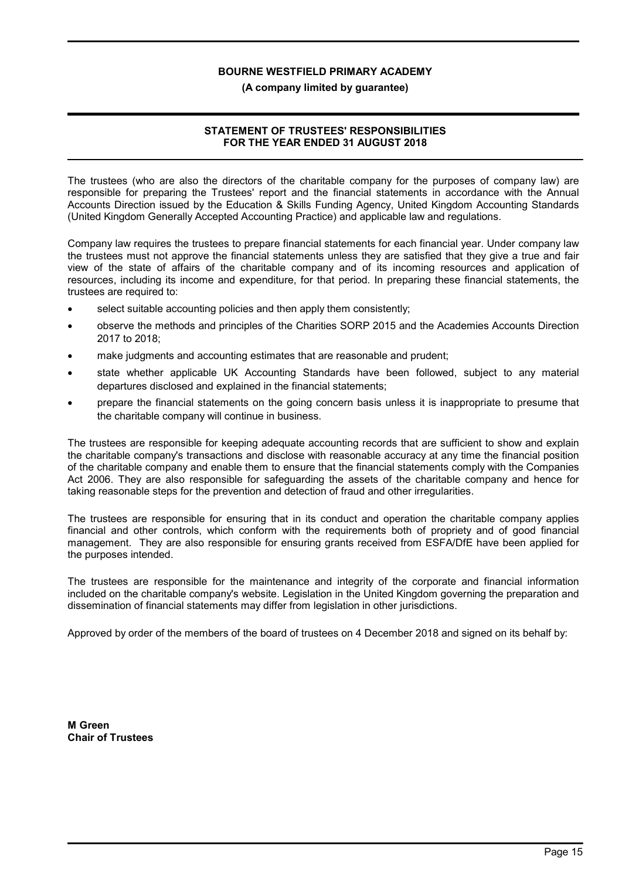#### (A company limited by guarantee)

### STATEMENT OF TRUSTEES' RESPONSIBILITIES FOR THE YEAR ENDED 31 AUGUST 2018

The trustees (who are also the directors of the charitable company for the purposes of company law) are responsible for preparing the Trustees' report and the financial statements in accordance with the Annual Accounts Direction issued by the Education & Skills Funding Agency, United Kingdom Accounting Standards (United Kingdom Generally Accepted Accounting Practice) and applicable law and regulations.

Company law requires the trustees to prepare financial statements for each financial year. Under company law the trustees must not approve the financial statements unless they are satisfied that they give a true and fair view of the state of affairs of the charitable company and of its incoming resources and application of resources, including its income and expenditure, for that period. In preparing these financial statements, the trustees are required to:

- select suitable accounting policies and then apply them consistently;
- observe the methods and principles of the Charities SORP 2015 and the Academies Accounts Direction 2017 to 2018;
- make judgments and accounting estimates that are reasonable and prudent;
- state whether applicable UK Accounting Standards have been followed, subject to any material departures disclosed and explained in the financial statements;
- prepare the financial statements on the going concern basis unless it is inappropriate to presume that the charitable company will continue in business.

The trustees are responsible for keeping adequate accounting records that are sufficient to show and explain the charitable company's transactions and disclose with reasonable accuracy at any time the financial position of the charitable company and enable them to ensure that the financial statements comply with the Companies Act 2006. They are also responsible for safeguarding the assets of the charitable company and hence for taking reasonable steps for the prevention and detection of fraud and other irregularities.

The trustees are responsible for ensuring that in its conduct and operation the charitable company applies financial and other controls, which conform with the requirements both of propriety and of good financial management. They are also responsible for ensuring grants received from ESFA/DfE have been applied for the purposes intended.

The trustees are responsible for the maintenance and integrity of the corporate and financial information included on the charitable company's website. Legislation in the United Kingdom governing the preparation and dissemination of financial statements may differ from legislation in other jurisdictions.

Approved by order of the members of the board of trustees on 4 December 2018 and signed on its behalf by:

M Green Chair of Trustees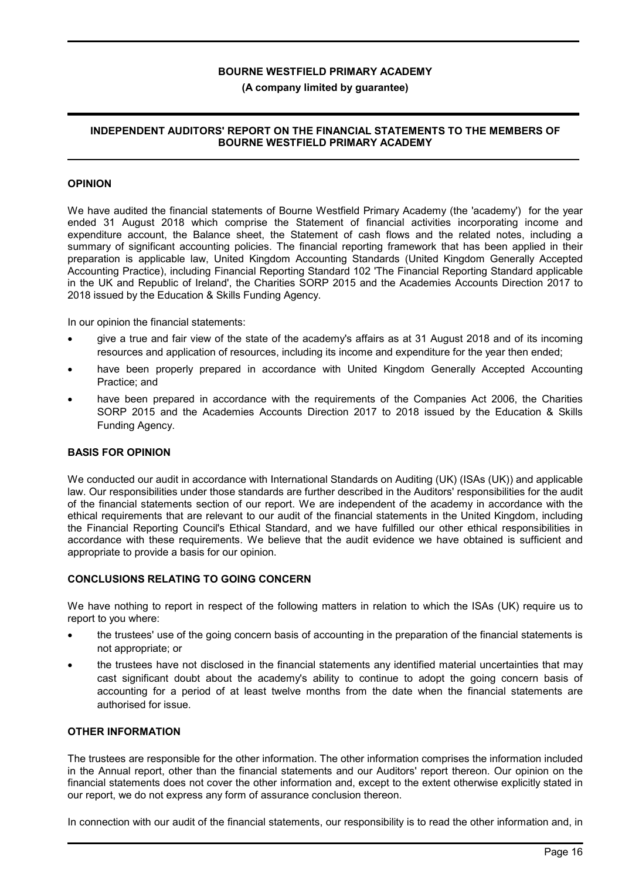#### (A company limited by guarantee)

### INDEPENDENT AUDITORS' REPORT ON THE FINANCIAL STATEMENTS TO THE MEMBERS OF BOURNE WESTFIELD PRIMARY ACADEMY

### OPINION

We have audited the financial statements of Bourne Westfield Primary Academy (the 'academy') for the year ended 31 August 2018 which comprise the Statement of financial activities incorporating income and expenditure account, the Balance sheet, the Statement of cash flows and the related notes, including a summary of significant accounting policies. The financial reporting framework that has been applied in their preparation is applicable law, United Kingdom Accounting Standards (United Kingdom Generally Accepted Accounting Practice), including Financial Reporting Standard 102 'The Financial Reporting Standard applicable in the UK and Republic of Ireland', the Charities SORP 2015 and the Academies Accounts Direction 2017 to 2018 issued by the Education & Skills Funding Agency.

In our opinion the financial statements:

- give a true and fair view of the state of the academy's affairs as at 31 August 2018 and of its incoming resources and application of resources, including its income and expenditure for the year then ended;
- have been properly prepared in accordance with United Kingdom Generally Accepted Accounting Practice; and
- have been prepared in accordance with the requirements of the Companies Act 2006, the Charities SORP 2015 and the Academies Accounts Direction 2017 to 2018 issued by the Education & Skills Funding Agency.

#### BASIS FOR OPINION

We conducted our audit in accordance with International Standards on Auditing (UK) (ISAs (UK)) and applicable law. Our responsibilities under those standards are further described in the Auditors' responsibilities for the audit of the financial statements section of our report. We are independent of the academy in accordance with the ethical requirements that are relevant to our audit of the financial statements in the United Kingdom, including the Financial Reporting Council's Ethical Standard, and we have fulfilled our other ethical responsibilities in accordance with these requirements. We believe that the audit evidence we have obtained is sufficient and appropriate to provide a basis for our opinion.

#### CONCLUSIONS RELATING TO GOING CONCERN

We have nothing to report in respect of the following matters in relation to which the ISAs (UK) require us to report to you where:

- the trustees' use of the going concern basis of accounting in the preparation of the financial statements is not appropriate; or
- the trustees have not disclosed in the financial statements any identified material uncertainties that may cast significant doubt about the academy's ability to continue to adopt the going concern basis of accounting for a period of at least twelve months from the date when the financial statements are authorised for issue.

### OTHER INFORMATION

The trustees are responsible for the other information. The other information comprises the information included in the Annual report, other than the financial statements and our Auditors' report thereon. Our opinion on the financial statements does not cover the other information and, except to the extent otherwise explicitly stated in our report, we do not express any form of assurance conclusion thereon.

In connection with our audit of the financial statements, our responsibility is to read the other information and, in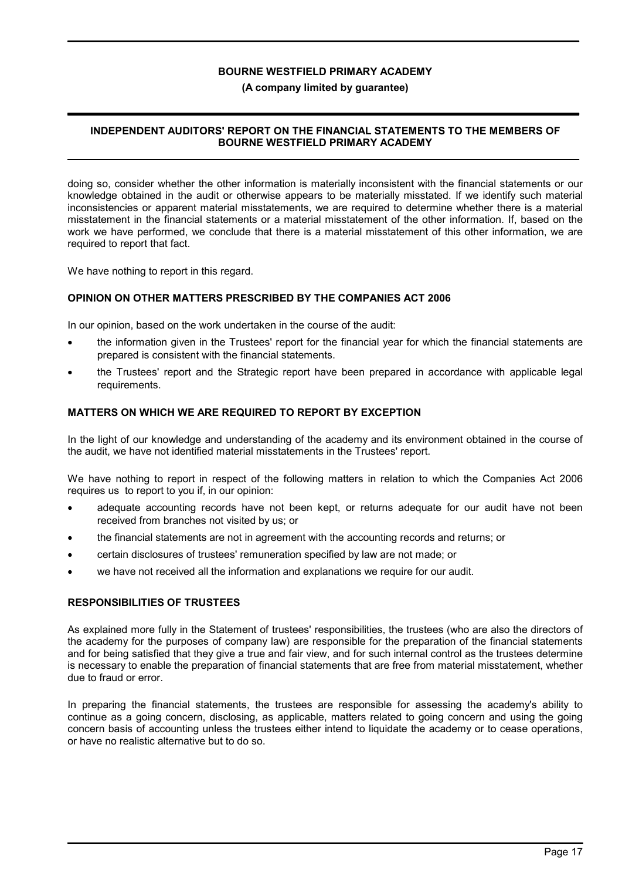#### (A company limited by guarantee)

### INDEPENDENT AUDITORS' REPORT ON THE FINANCIAL STATEMENTS TO THE MEMBERS OF BOURNE WESTFIELD PRIMARY ACADEMY

doing so, consider whether the other information is materially inconsistent with the financial statements or our knowledge obtained in the audit or otherwise appears to be materially misstated. If we identify such material inconsistencies or apparent material misstatements, we are required to determine whether there is a material misstatement in the financial statements or a material misstatement of the other information. If, based on the work we have performed, we conclude that there is a material misstatement of this other information, we are required to report that fact.

We have nothing to report in this regard.

### OPINION ON OTHER MATTERS PRESCRIBED BY THE COMPANIES ACT 2006

In our opinion, based on the work undertaken in the course of the audit:

- the information given in the Trustees' report for the financial year for which the financial statements are prepared is consistent with the financial statements.
- the Trustees' report and the Strategic report have been prepared in accordance with applicable legal requirements.

#### MATTERS ON WHICH WE ARE REQUIRED TO REPORT BY EXCEPTION

In the light of our knowledge and understanding of the academy and its environment obtained in the course of the audit, we have not identified material misstatements in the Trustees' report.

We have nothing to report in respect of the following matters in relation to which the Companies Act 2006 requires us to report to you if, in our opinion:

- adequate accounting records have not been kept, or returns adequate for our audit have not been received from branches not visited by us; or
- the financial statements are not in agreement with the accounting records and returns; or
- certain disclosures of trustees' remuneration specified by law are not made; or
- we have not received all the information and explanations we require for our audit.

### RESPONSIBILITIES OF TRUSTEES

As explained more fully in the Statement of trustees' responsibilities, the trustees (who are also the directors of the academy for the purposes of company law) are responsible for the preparation of the financial statements and for being satisfied that they give a true and fair view, and for such internal control as the trustees determine is necessary to enable the preparation of financial statements that are free from material misstatement, whether due to fraud or error.

In preparing the financial statements, the trustees are responsible for assessing the academy's ability to continue as a going concern, disclosing, as applicable, matters related to going concern and using the going concern basis of accounting unless the trustees either intend to liquidate the academy or to cease operations, or have no realistic alternative but to do so.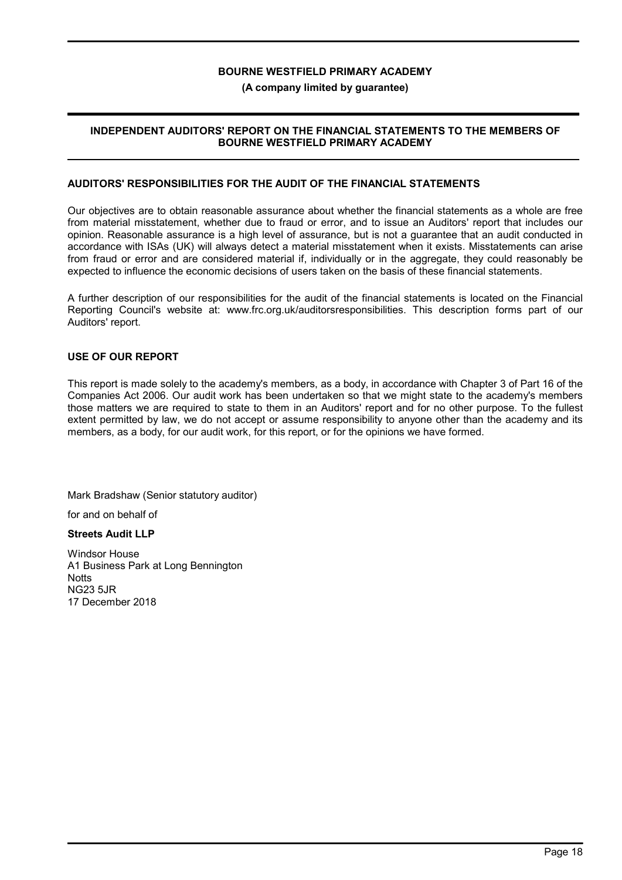#### (A company limited by guarantee)

### INDEPENDENT AUDITORS' REPORT ON THE FINANCIAL STATEMENTS TO THE MEMBERS OF BOURNE WESTFIELD PRIMARY ACADEMY

### AUDITORS' RESPONSIBILITIES FOR THE AUDIT OF THE FINANCIAL STATEMENTS

Our objectives are to obtain reasonable assurance about whether the financial statements as a whole are free from material misstatement, whether due to fraud or error, and to issue an Auditors' report that includes our opinion. Reasonable assurance is a high level of assurance, but is not a guarantee that an audit conducted in accordance with ISAs (UK) will always detect a material misstatement when it exists. Misstatements can arise from fraud or error and are considered material if, individually or in the aggregate, they could reasonably be expected to influence the economic decisions of users taken on the basis of these financial statements.

A further description of our responsibilities for the audit of the financial statements is located on the Financial Reporting Council's website at: www.frc.org.uk/auditorsresponsibilities. This description forms part of our Auditors' report.

#### USE OF OUR REPORT

This report is made solely to the academy's members, as a body, in accordance with Chapter 3 of Part 16 of the Companies Act 2006. Our audit work has been undertaken so that we might state to the academy's members those matters we are required to state to them in an Auditors' report and for no other purpose. To the fullest extent permitted by law, we do not accept or assume responsibility to anyone other than the academy and its members, as a body, for our audit work, for this report, or for the opinions we have formed.

Mark Bradshaw (Senior statutory auditor)

for and on behalf of

### Streets Audit LLP

Windsor House A1 Business Park at Long Bennington **Notts** NG23 5JR 17 December 2018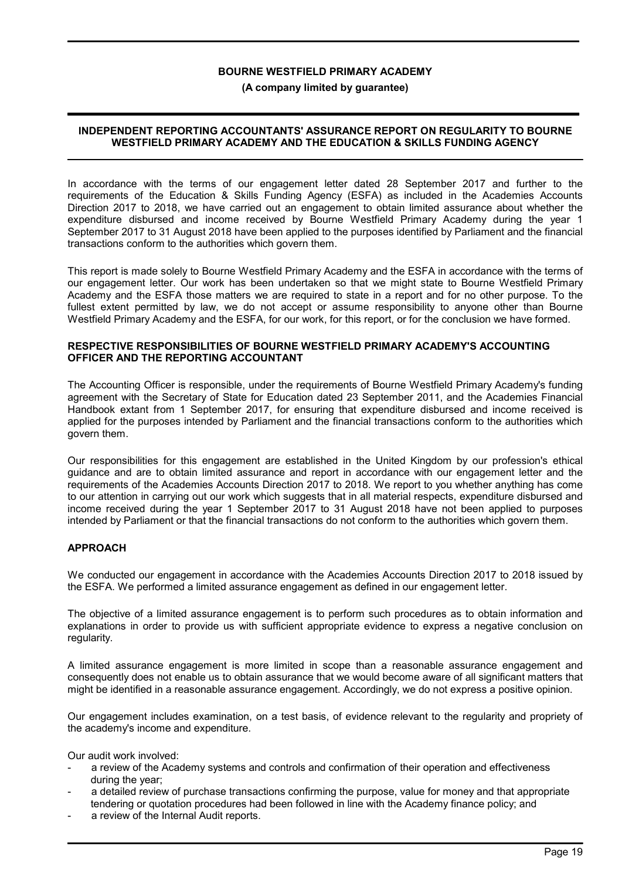#### (A company limited by guarantee)

### INDEPENDENT REPORTING ACCOUNTANTS' ASSURANCE REPORT ON REGULARITY TO BOURNE WESTFIELD PRIMARY ACADEMY AND THE EDUCATION & SKILLS FUNDING AGENCY

In accordance with the terms of our engagement letter dated 28 September 2017 and further to the requirements of the Education & Skills Funding Agency (ESFA) as included in the Academies Accounts Direction 2017 to 2018, we have carried out an engagement to obtain limited assurance about whether the expenditure disbursed and income received by Bourne Westfield Primary Academy during the year 1 September 2017 to 31 August 2018 have been applied to the purposes identified by Parliament and the financial transactions conform to the authorities which govern them.

This report is made solely to Bourne Westfield Primary Academy and the ESFA in accordance with the terms of our engagement letter. Our work has been undertaken so that we might state to Bourne Westfield Primary Academy and the ESFA those matters we are required to state in a report and for no other purpose. To the fullest extent permitted by law, we do not accept or assume responsibility to anyone other than Bourne Westfield Primary Academy and the ESFA, for our work, for this report, or for the conclusion we have formed.

### RESPECTIVE RESPONSIBILITIES OF BOURNE WESTFIELD PRIMARY ACADEMY'S ACCOUNTING OFFICER AND THE REPORTING ACCOUNTANT

The Accounting Officer is responsible, under the requirements of Bourne Westfield Primary Academy's funding agreement with the Secretary of State for Education dated 23 September 2011, and the Academies Financial Handbook extant from 1 September 2017, for ensuring that expenditure disbursed and income received is applied for the purposes intended by Parliament and the financial transactions conform to the authorities which govern them.

Our responsibilities for this engagement are established in the United Kingdom by our profession's ethical guidance and are to obtain limited assurance and report in accordance with our engagement letter and the requirements of the Academies Accounts Direction 2017 to 2018. We report to you whether anything has come to our attention in carrying out our work which suggests that in all material respects, expenditure disbursed and income received during the year 1 September 2017 to 31 August 2018 have not been applied to purposes intended by Parliament or that the financial transactions do not conform to the authorities which govern them.

### APPROACH

We conducted our engagement in accordance with the Academies Accounts Direction 2017 to 2018 issued by the ESFA. We performed a limited assurance engagement as defined in our engagement letter.

The objective of a limited assurance engagement is to perform such procedures as to obtain information and explanations in order to provide us with sufficient appropriate evidence to express a negative conclusion on regularity.

A limited assurance engagement is more limited in scope than a reasonable assurance engagement and consequently does not enable us to obtain assurance that we would become aware of all significant matters that might be identified in a reasonable assurance engagement. Accordingly, we do not express a positive opinion.

Our engagement includes examination, on a test basis, of evidence relevant to the regularity and propriety of the academy's income and expenditure.

Our audit work involved:

- a review of the Academy systems and controls and confirmation of their operation and effectiveness during the year;
- a detailed review of purchase transactions confirming the purpose, value for money and that appropriate tendering or quotation procedures had been followed in line with the Academy finance policy; and
- a review of the Internal Audit reports.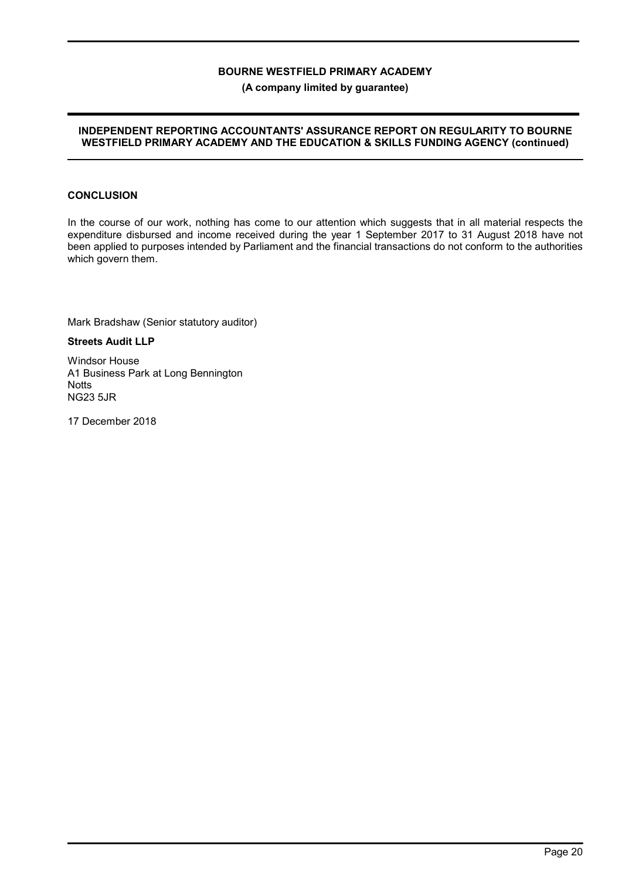#### (A company limited by guarantee)

### INDEPENDENT REPORTING ACCOUNTANTS' ASSURANCE REPORT ON REGULARITY TO BOURNE WESTFIELD PRIMARY ACADEMY AND THE EDUCATION & SKILLS FUNDING AGENCY (continued)

# **CONCLUSION**

In the course of our work, nothing has come to our attention which suggests that in all material respects the expenditure disbursed and income received during the year 1 September 2017 to 31 August 2018 have not been applied to purposes intended by Parliament and the financial transactions do not conform to the authorities which govern them.

Mark Bradshaw (Senior statutory auditor)

Streets Audit LLP

Windsor House A1 Business Park at Long Bennington **Notts** NG23 5JR

17 December 2018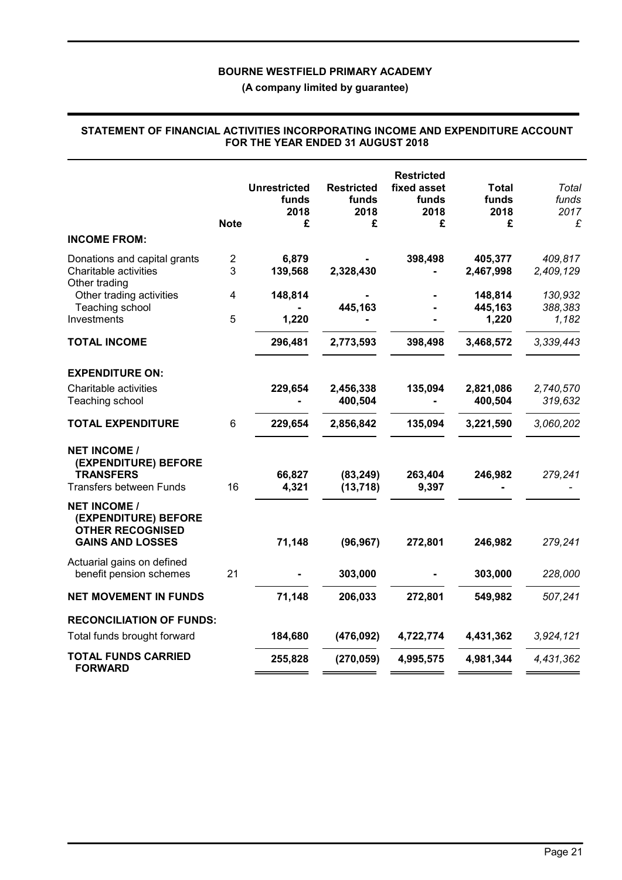(A company limited by guarantee)

| <b>INCOME FROM:</b>                                                                               | <b>Note</b>         | <b>Unrestricted</b><br>funds<br>2018<br>£ | <b>Restricted</b><br>funds<br>2018<br>£ | <b>Restricted</b><br>fixed asset<br>funds<br>2018<br>£ | Total<br>funds<br>2018<br>£ | Total<br>funds<br>2017<br>£ |
|---------------------------------------------------------------------------------------------------|---------------------|-------------------------------------------|-----------------------------------------|--------------------------------------------------------|-----------------------------|-----------------------------|
| Donations and capital grants<br>Charitable activities                                             | $\overline{c}$<br>3 | 6,879<br>139,568                          | 2,328,430                               | 398,498                                                | 405,377<br>2,467,998        | 409,817<br>2,409,129        |
| Other trading<br>Other trading activities<br>Teaching school                                      | 4                   | 148,814                                   | 445,163                                 |                                                        | 148,814<br>445,163          | 130,932<br>388,383          |
| Investments<br><b>TOTAL INCOME</b>                                                                | 5                   | 1,220<br>296,481                          | 2,773,593                               | 398,498                                                | 1,220<br>3,468,572          | 1,182<br>3,339,443          |
| <b>EXPENDITURE ON:</b>                                                                            |                     |                                           |                                         |                                                        |                             |                             |
| Charitable activities<br>Teaching school                                                          |                     | 229,654                                   | 2,456,338<br>400,504                    | 135,094                                                | 2,821,086<br>400,504        | 2,740,570<br>319,632        |
| <b>TOTAL EXPENDITURE</b>                                                                          | $6\phantom{1}$      | 229,654                                   | 2,856,842                               | 135,094                                                | 3,221,590                   | 3,060,202                   |
| <b>NET INCOME /</b><br>(EXPENDITURE) BEFORE<br><b>TRANSFERS</b><br><b>Transfers between Funds</b> | 16                  | 66,827<br>4,321                           | (83, 249)<br>(13, 718)                  | 263,404<br>9,397                                       | 246,982                     | 279,241                     |
| <b>NET INCOME /</b><br>(EXPENDITURE) BEFORE<br><b>OTHER RECOGNISED</b><br><b>GAINS AND LOSSES</b> |                     | 71,148                                    | (96, 967)                               | 272,801                                                | 246,982                     | 279,241                     |
| Actuarial gains on defined<br>benefit pension schemes                                             | 21                  |                                           | 303,000                                 |                                                        | 303,000                     | 228,000                     |
| <b>NET MOVEMENT IN FUNDS</b>                                                                      |                     | 71,148                                    | 206,033                                 | 272,801                                                | 549,982                     | 507,241                     |
| <b>RECONCILIATION OF FUNDS:</b><br>Total funds brought forward                                    |                     | 184,680                                   | (476, 092)                              | 4,722,774                                              | 4,431,362                   | 3,924,121                   |
| <b>TOTAL FUNDS CARRIED</b><br><b>FORWARD</b>                                                      |                     | 255,828                                   | (270, 059)                              | 4,995,575                                              | 4,981,344                   | 4,431,362                   |

#### STATEMENT OF FINANCIAL ACTIVITIES INCORPORATING INCOME AND EXPENDITURE ACCOUNT FOR THE YEAR ENDED 31 AUGUST 2018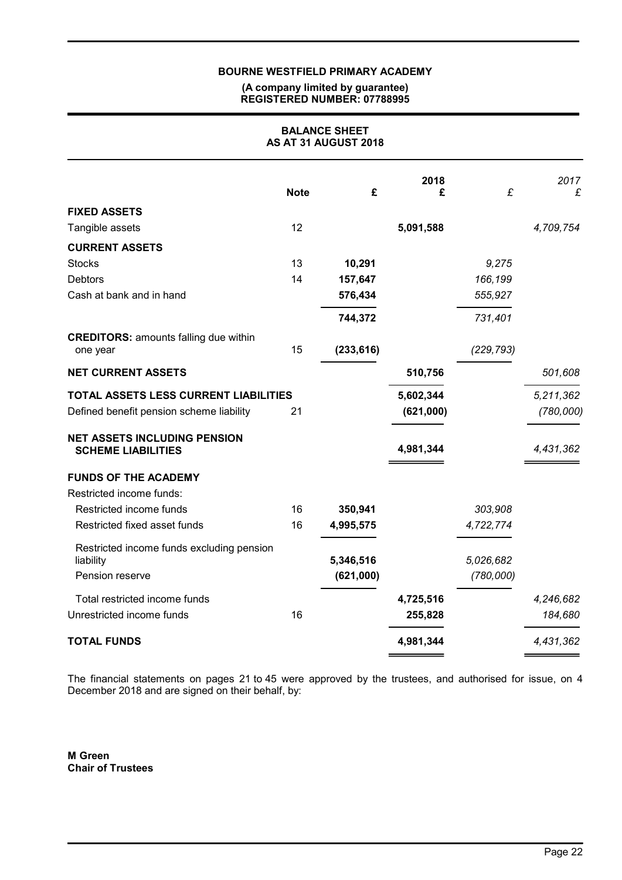#### (A company limited by guarantee) REGISTERED NUMBER: 07788995

| <b>BALANCE SHEET</b><br>AS AT 31 AUGUST 2018                     |             |            |           |            |           |
|------------------------------------------------------------------|-------------|------------|-----------|------------|-----------|
|                                                                  | <b>Note</b> | £          | 2018<br>£ | £          | 2017<br>£ |
| <b>FIXED ASSETS</b>                                              |             |            |           |            |           |
| Tangible assets                                                  | 12          |            | 5,091,588 |            | 4,709,754 |
| <b>CURRENT ASSETS</b>                                            |             |            |           |            |           |
| <b>Stocks</b>                                                    | 13          | 10,291     |           | 9,275      |           |
| <b>Debtors</b>                                                   | 14          | 157,647    |           | 166,199    |           |
| Cash at bank and in hand                                         |             | 576,434    |           | 555,927    |           |
|                                                                  |             | 744,372    |           | 731,401    |           |
| <b>CREDITORS: amounts falling due within</b><br>one year         | 15          | (233, 616) |           | (229, 793) |           |
| <b>NET CURRENT ASSETS</b>                                        |             |            | 510,756   |            | 501,608   |
| TOTAL ASSETS LESS CURRENT LIABILITIES                            |             |            | 5,602,344 |            | 5,211,362 |
| Defined benefit pension scheme liability                         | 21          |            | (621,000) |            | (780,000) |
| <b>NET ASSETS INCLUDING PENSION</b><br><b>SCHEME LIABILITIES</b> |             |            | 4,981,344 |            | 4,431,362 |
| <b>FUNDS OF THE ACADEMY</b>                                      |             |            |           |            |           |
| Restricted income funds:                                         |             |            |           |            |           |
| Restricted income funds                                          | 16          | 350,941    |           | 303,908    |           |
| Restricted fixed asset funds                                     | 16          | 4,995,575  |           | 4,722,774  |           |
| Restricted income funds excluding pension<br>liability           |             | 5,346,516  |           | 5,026,682  |           |
| Pension reserve                                                  |             | (621,000)  |           | (780,000)  |           |
| Total restricted income funds                                    |             |            | 4,725,516 |            | 4,246,682 |
| Unrestricted income funds                                        | 16          |            | 255,828   |            | 184,680   |
| <b>TOTAL FUNDS</b>                                               |             |            | 4,981,344 |            | 4,431,362 |

The financial statements on pages 21 to 45 were approved by the trustees, and authorised for issue, on 4 December 2018 and are signed on their behalf, by:

M Green Chair of Trustees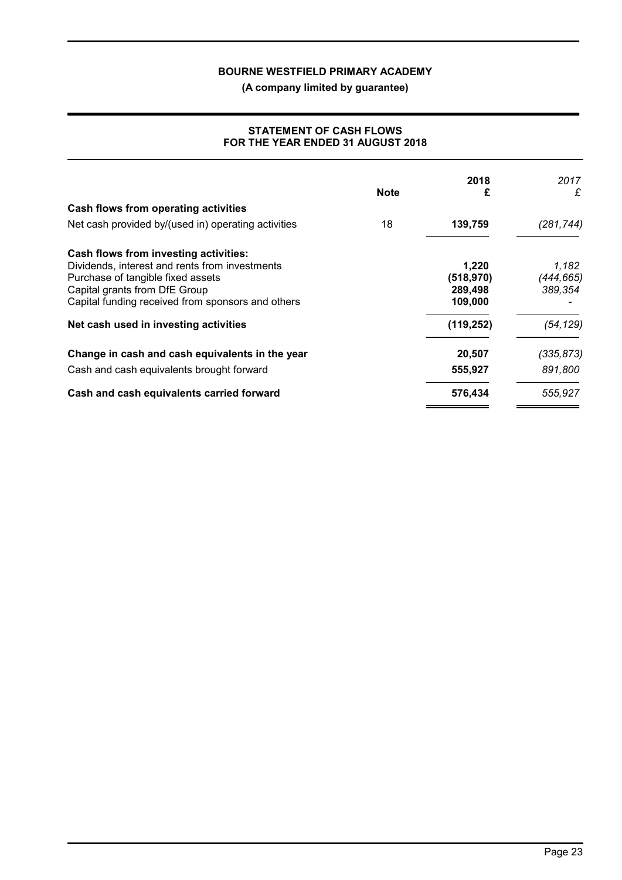(A company limited by guarantee)

### STATEMENT OF CASH FLOWS FOR THE YEAR ENDED 31 AUGUST 2018

| <b>Note</b> | 2018<br>£  | 2017<br>£  |
|-------------|------------|------------|
|             |            |            |
| 18          | 139,759    | (281,744)  |
|             |            |            |
|             | 1,220      | 1,182      |
|             | (518, 970) | (444,665)  |
|             | 289,498    | 389,354    |
|             | 109,000    |            |
|             | (119, 252) | (54, 129)  |
|             | 20,507     | (335, 873) |
|             | 555,927    | 891.800    |
|             | 576,434    | 555,927    |
|             |            |            |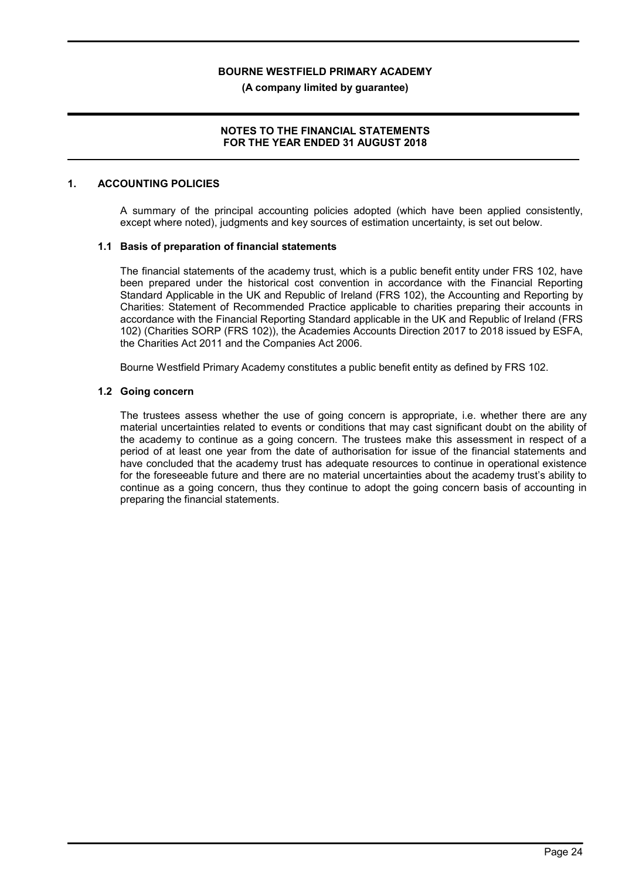(A company limited by guarantee)

### NOTES TO THE FINANCIAL STATEMENTS FOR THE YEAR ENDED 31 AUGUST 2018

### 1. ACCOUNTING POLICIES

A summary of the principal accounting policies adopted (which have been applied consistently, except where noted), judgments and key sources of estimation uncertainty, is set out below.

### 1.1 Basis of preparation of financial statements

The financial statements of the academy trust, which is a public benefit entity under FRS 102, have been prepared under the historical cost convention in accordance with the Financial Reporting Standard Applicable in the UK and Republic of Ireland (FRS 102), the Accounting and Reporting by Charities: Statement of Recommended Practice applicable to charities preparing their accounts in accordance with the Financial Reporting Standard applicable in the UK and Republic of Ireland (FRS 102) (Charities SORP (FRS 102)), the Academies Accounts Direction 2017 to 2018 issued by ESFA, the Charities Act 2011 and the Companies Act 2006.

Bourne Westfield Primary Academy constitutes a public benefit entity as defined by FRS 102.

#### 1.2 Going concern

The trustees assess whether the use of going concern is appropriate, i.e. whether there are any material uncertainties related to events or conditions that may cast significant doubt on the ability of the academy to continue as a going concern. The trustees make this assessment in respect of a period of at least one year from the date of authorisation for issue of the financial statements and have concluded that the academy trust has adequate resources to continue in operational existence for the foreseeable future and there are no material uncertainties about the academy trust's ability to continue as a going concern, thus they continue to adopt the going concern basis of accounting in preparing the financial statements.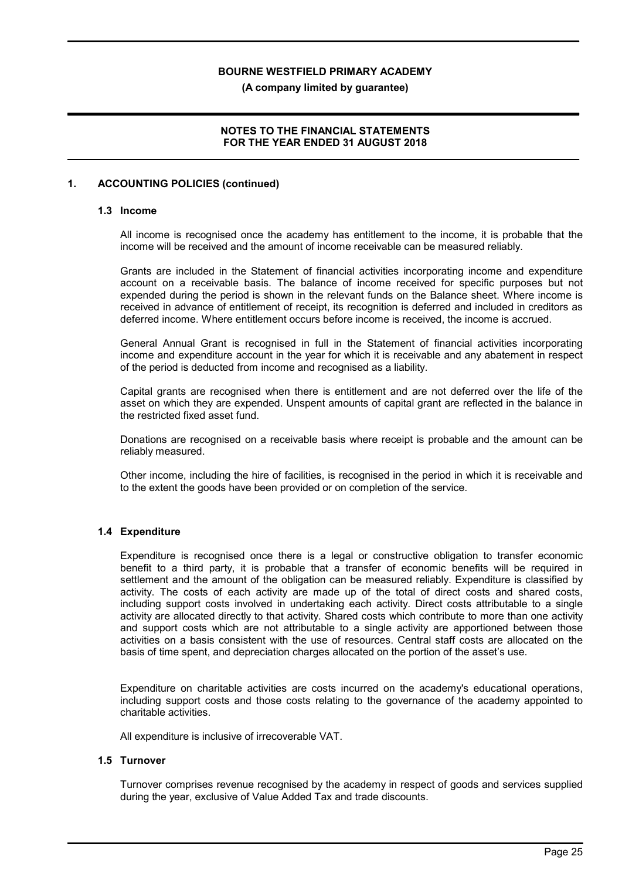(A company limited by guarantee)

### NOTES TO THE FINANCIAL STATEMENTS FOR THE YEAR ENDED 31 AUGUST 2018

### 1. ACCOUNTING POLICIES (continued)

#### 1.3 Income

All income is recognised once the academy has entitlement to the income, it is probable that the income will be received and the amount of income receivable can be measured reliably.

Grants are included in the Statement of financial activities incorporating income and expenditure account on a receivable basis. The balance of income received for specific purposes but not expended during the period is shown in the relevant funds on the Balance sheet. Where income is received in advance of entitlement of receipt, its recognition is deferred and included in creditors as deferred income. Where entitlement occurs before income is received, the income is accrued.

General Annual Grant is recognised in full in the Statement of financial activities incorporating income and expenditure account in the year for which it is receivable and any abatement in respect of the period is deducted from income and recognised as a liability.

Capital grants are recognised when there is entitlement and are not deferred over the life of the asset on which they are expended. Unspent amounts of capital grant are reflected in the balance in the restricted fixed asset fund.

Donations are recognised on a receivable basis where receipt is probable and the amount can be reliably measured.

Other income, including the hire of facilities, is recognised in the period in which it is receivable and to the extent the goods have been provided or on completion of the service.

#### 1.4 Expenditure

Expenditure is recognised once there is a legal or constructive obligation to transfer economic benefit to a third party, it is probable that a transfer of economic benefits will be required in settlement and the amount of the obligation can be measured reliably. Expenditure is classified by activity. The costs of each activity are made up of the total of direct costs and shared costs, including support costs involved in undertaking each activity. Direct costs attributable to a single activity are allocated directly to that activity. Shared costs which contribute to more than one activity and support costs which are not attributable to a single activity are apportioned between those activities on a basis consistent with the use of resources. Central staff costs are allocated on the basis of time spent, and depreciation charges allocated on the portion of the asset's use.

Expenditure on charitable activities are costs incurred on the academy's educational operations, including support costs and those costs relating to the governance of the academy appointed to charitable activities.

All expenditure is inclusive of irrecoverable VAT.

### 1.5 Turnover

Turnover comprises revenue recognised by the academy in respect of goods and services supplied during the year, exclusive of Value Added Tax and trade discounts.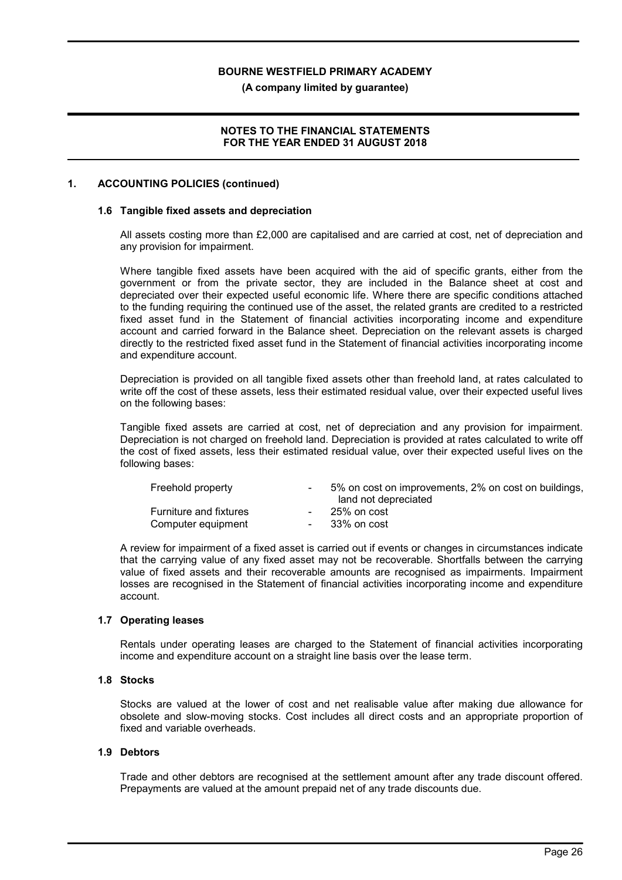(A company limited by guarantee)

### NOTES TO THE FINANCIAL STATEMENTS FOR THE YEAR ENDED 31 AUGUST 2018

### 1. ACCOUNTING POLICIES (continued)

#### 1.6 Tangible fixed assets and depreciation

All assets costing more than £2,000 are capitalised and are carried at cost, net of depreciation and any provision for impairment.

Where tangible fixed assets have been acquired with the aid of specific grants, either from the government or from the private sector, they are included in the Balance sheet at cost and depreciated over their expected useful economic life. Where there are specific conditions attached to the funding requiring the continued use of the asset, the related grants are credited to a restricted fixed asset fund in the Statement of financial activities incorporating income and expenditure account and carried forward in the Balance sheet. Depreciation on the relevant assets is charged directly to the restricted fixed asset fund in the Statement of financial activities incorporating income and expenditure account.

Depreciation is provided on all tangible fixed assets other than freehold land, at rates calculated to write off the cost of these assets, less their estimated residual value, over their expected useful lives on the following bases:

Tangible fixed assets are carried at cost, net of depreciation and any provision for impairment. Depreciation is not charged on freehold land. Depreciation is provided at rates calculated to write off the cost of fixed assets, less their estimated residual value, over their expected useful lives on the following bases:

| Freehold property                                   | 5% on cost on improvements, 2% on cost on buildings,<br>land not depreciated |
|-----------------------------------------------------|------------------------------------------------------------------------------|
| <b>Furniture and fixtures</b><br>Computer equipment | 25% on cost<br>33% on cost                                                   |

A review for impairment of a fixed asset is carried out if events or changes in circumstances indicate that the carrying value of any fixed asset may not be recoverable. Shortfalls between the carrying value of fixed assets and their recoverable amounts are recognised as impairments. Impairment losses are recognised in the Statement of financial activities incorporating income and expenditure account.

#### 1.7 Operating leases

Rentals under operating leases are charged to the Statement of financial activities incorporating income and expenditure account on a straight line basis over the lease term.

### 1.8 Stocks

Stocks are valued at the lower of cost and net realisable value after making due allowance for obsolete and slow-moving stocks. Cost includes all direct costs and an appropriate proportion of fixed and variable overheads.

#### 1.9 Debtors

Trade and other debtors are recognised at the settlement amount after any trade discount offered. Prepayments are valued at the amount prepaid net of any trade discounts due.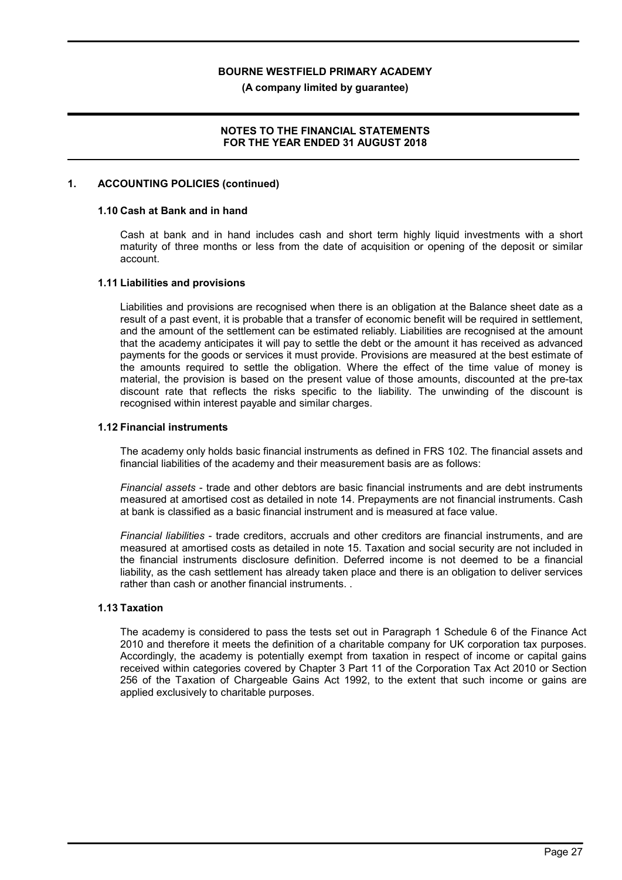(A company limited by guarantee)

### NOTES TO THE FINANCIAL STATEMENTS FOR THE YEAR ENDED 31 AUGUST 2018

### 1. ACCOUNTING POLICIES (continued)

#### 1.10 Cash at Bank and in hand

Cash at bank and in hand includes cash and short term highly liquid investments with a short maturity of three months or less from the date of acquisition or opening of the deposit or similar account.

#### 1.11 Liabilities and provisions

Liabilities and provisions are recognised when there is an obligation at the Balance sheet date as a result of a past event, it is probable that a transfer of economic benefit will be required in settlement, and the amount of the settlement can be estimated reliably. Liabilities are recognised at the amount that the academy anticipates it will pay to settle the debt or the amount it has received as advanced payments for the goods or services it must provide. Provisions are measured at the best estimate of the amounts required to settle the obligation. Where the effect of the time value of money is material, the provision is based on the present value of those amounts, discounted at the pre-tax discount rate that reflects the risks specific to the liability. The unwinding of the discount is recognised within interest payable and similar charges.

#### 1.12 Financial instruments

The academy only holds basic financial instruments as defined in FRS 102. The financial assets and financial liabilities of the academy and their measurement basis are as follows:

Financial assets - trade and other debtors are basic financial instruments and are debt instruments measured at amortised cost as detailed in note 14. Prepayments are not financial instruments. Cash at bank is classified as a basic financial instrument and is measured at face value.

Financial liabilities - trade creditors, accruals and other creditors are financial instruments, and are measured at amortised costs as detailed in note 15. Taxation and social security are not included in the financial instruments disclosure definition. Deferred income is not deemed to be a financial liability, as the cash settlement has already taken place and there is an obligation to deliver services rather than cash or another financial instruments. .

#### 1.13 Taxation

The academy is considered to pass the tests set out in Paragraph 1 Schedule 6 of the Finance Act 2010 and therefore it meets the definition of a charitable company for UK corporation tax purposes. Accordingly, the academy is potentially exempt from taxation in respect of income or capital gains received within categories covered by Chapter 3 Part 11 of the Corporation Tax Act 2010 or Section 256 of the Taxation of Chargeable Gains Act 1992, to the extent that such income or gains are applied exclusively to charitable purposes.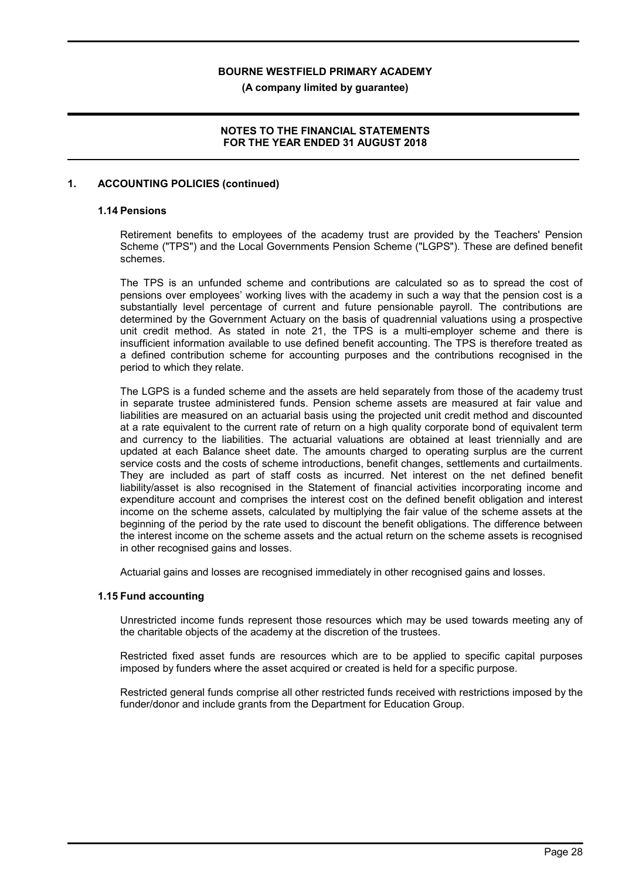(A company limited by guarantee)

### NOTES TO THE FINANCIAL STATEMENTS FOR THE YEAR ENDED 31 AUGUST 2018

### 1. ACCOUNTING POLICIES (continued)

#### 1.14 Pensions

Retirement benefits to employees of the academy trust are provided by the Teachers' Pension Scheme ("TPS") and the Local Governments Pension Scheme ("LGPS"). These are defined benefit schemes.

The TPS is an unfunded scheme and contributions are calculated so as to spread the cost of pensions over employees' working lives with the academy in such a way that the pension cost is a substantially level percentage of current and future pensionable payroll. The contributions are determined by the Government Actuary on the basis of quadrennial valuations using a prospective unit credit method. As stated in note 21, the TPS is a multi-employer scheme and there is insufficient information available to use defined benefit accounting. The TPS is therefore treated as a defined contribution scheme for accounting purposes and the contributions recognised in the period to which they relate.

The LGPS is a funded scheme and the assets are held separately from those of the academy trust in separate trustee administered funds. Pension scheme assets are measured at fair value and liabilities are measured on an actuarial basis using the projected unit credit method and discounted at a rate equivalent to the current rate of return on a high quality corporate bond of equivalent term and currency to the liabilities. The actuarial valuations are obtained at least triennially and are updated at each Balance sheet date. The amounts charged to operating surplus are the current service costs and the costs of scheme introductions, benefit changes, settlements and curtailments. They are included as part of staff costs as incurred. Net interest on the net defined benefit liability/asset is also recognised in the Statement of financial activities incorporating income and expenditure account and comprises the interest cost on the defined benefit obligation and interest income on the scheme assets, calculated by multiplying the fair value of the scheme assets at the beginning of the period by the rate used to discount the benefit obligations. The difference between the interest income on the scheme assets and the actual return on the scheme assets is recognised in other recognised gains and losses.

Actuarial gains and losses are recognised immediately in other recognised gains and losses.

### 1.15 Fund accounting

Unrestricted income funds represent those resources which may be used towards meeting any of the charitable objects of the academy at the discretion of the trustees.

Restricted fixed asset funds are resources which are to be applied to specific capital purposes imposed by funders where the asset acquired or created is held for a specific purpose.

Restricted general funds comprise all other restricted funds received with restrictions imposed by the funder/donor and include grants from the Department for Education Group.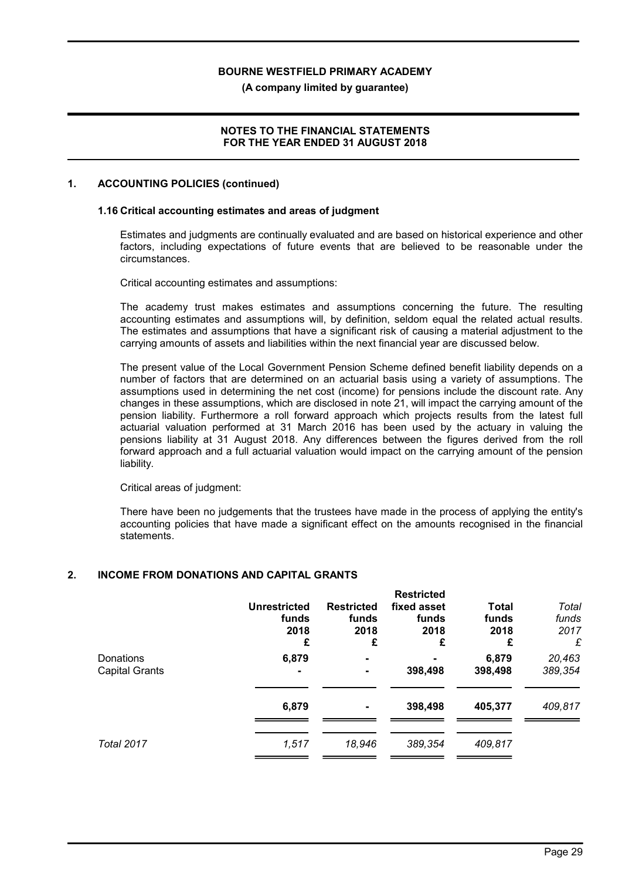(A company limited by guarantee)

### NOTES TO THE FINANCIAL STATEMENTS FOR THE YEAR ENDED 31 AUGUST 2018

### 1. ACCOUNTING POLICIES (continued)

#### 1.16 Critical accounting estimates and areas of judgment

Estimates and judgments are continually evaluated and are based on historical experience and other factors, including expectations of future events that are believed to be reasonable under the circumstances.

Critical accounting estimates and assumptions:

The academy trust makes estimates and assumptions concerning the future. The resulting accounting estimates and assumptions will, by definition, seldom equal the related actual results. The estimates and assumptions that have a significant risk of causing a material adjustment to the carrying amounts of assets and liabilities within the next financial year are discussed below.

The present value of the Local Government Pension Scheme defined benefit liability depends on a number of factors that are determined on an actuarial basis using a variety of assumptions. The assumptions used in determining the net cost (income) for pensions include the discount rate. Any changes in these assumptions, which are disclosed in note 21, will impact the carrying amount of the pension liability. Furthermore a roll forward approach which projects results from the latest full actuarial valuation performed at 31 March 2016 has been used by the actuary in valuing the pensions liability at 31 August 2018. Any differences between the figures derived from the roll forward approach and a full actuarial valuation would impact on the carrying amount of the pension liability.

Critical areas of judgment:

There have been no judgements that the trustees have made in the process of applying the entity's accounting policies that have made a significant effect on the amounts recognised in the financial statements.

### 2. INCOME FROM DONATIONS AND CAPITAL GRANTS

|                       |                     |                   | <b>Restricted</b> |              |         |
|-----------------------|---------------------|-------------------|-------------------|--------------|---------|
|                       | <b>Unrestricted</b> | <b>Restricted</b> | fixed asset       | <b>Total</b> | Total   |
|                       | funds               | funds             | funds             | funds        | funds   |
|                       | 2018                | 2018              | 2018              | 2018         | 2017    |
|                       | £                   | £                 | £                 | £            | £       |
| Donations             | 6,879               |                   |                   | 6,879        | 20,463  |
| <b>Capital Grants</b> |                     |                   | 398,498           | 398,498      | 389,354 |
|                       | 6,879               |                   | 398,498           | 405,377      | 409,817 |
| <b>Total 2017</b>     | 1,517               | 18,946            | 389,354           | 409,817      |         |
|                       |                     |                   |                   |              |         |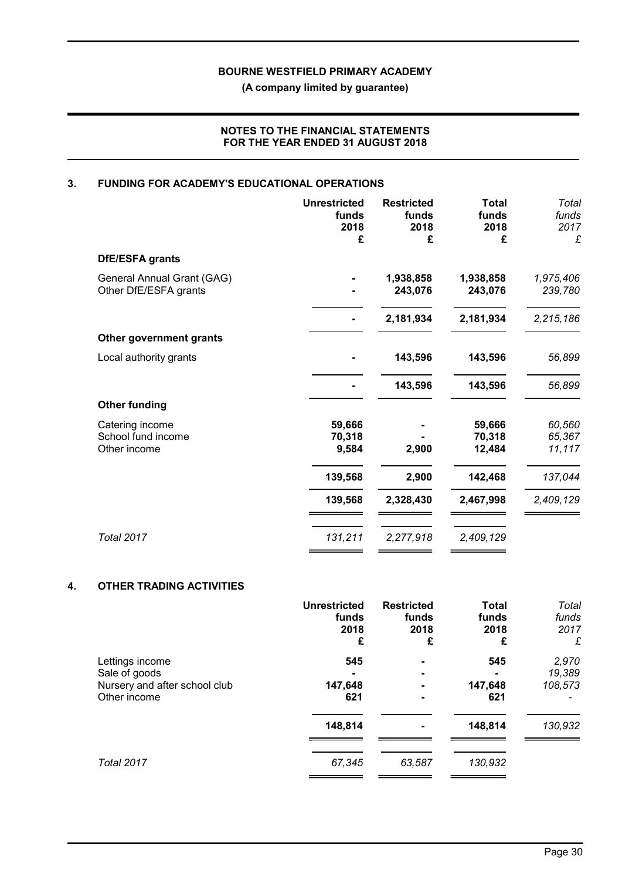(A company limited by guarantee)

### NOTES TO THE FINANCIAL STATEMENTS FOR THE YEAR ENDED 31 AUGUST 2018

# 3. FUNDING FOR ACADEMY'S EDUCATIONAL OPERATIONS

| <b>Unrestricted</b><br>funds<br>2018<br>£ | <b>Restricted</b><br>funds<br>2018<br>£ | <b>Total</b><br>funds<br>2018<br>£ | Total<br>funds<br>2017<br>£ |
|-------------------------------------------|-----------------------------------------|------------------------------------|-----------------------------|
|                                           |                                         |                                    |                             |
|                                           | 1,938,858<br>243,076                    | 1,938,858<br>243,076               | 1,975,406<br>239,780        |
|                                           | 2,181,934                               | 2,181,934                          | 2,215,186                   |
|                                           |                                         |                                    |                             |
|                                           | 143,596                                 | 143,596                            | 56,899                      |
|                                           | 143,596                                 | 143,596                            | 56,899                      |
|                                           |                                         |                                    |                             |
| 59,666<br>70,318<br>9,584                 | 2,900                                   | 59,666<br>70,318<br>12,484         | 60,560<br>65,367<br>11,117  |
| 139,568                                   | 2,900                                   | 142,468                            | 137,044                     |
| 139,568                                   | 2,328,430                               | 2,467,998                          | 2,409,129                   |
| 131,211                                   | 2,277,918                               | 2,409,129                          |                             |
|                                           |                                         |                                    |                             |

### 4. OTHER TRADING ACTIVITIES

|                               | <b>Unrestricted</b><br>funds<br>2018<br>£ | <b>Restricted</b><br>funds<br>2018<br>£ | <b>Total</b><br>funds<br>2018<br>£ | Total<br>funds<br>2017<br>£ |
|-------------------------------|-------------------------------------------|-----------------------------------------|------------------------------------|-----------------------------|
| Lettings income               | 545                                       |                                         | 545                                | 2,970                       |
| Sale of goods                 |                                           | ۰                                       |                                    | 19,389                      |
| Nursery and after school club | 147,648                                   |                                         | 147,648                            | 108,573                     |
| Other income                  | 621                                       |                                         | 621                                |                             |
|                               | 148,814                                   |                                         | 148,814                            | 130,932                     |
| <b>Total 2017</b>             | 67,345                                    | 63,587                                  | 130,932                            |                             |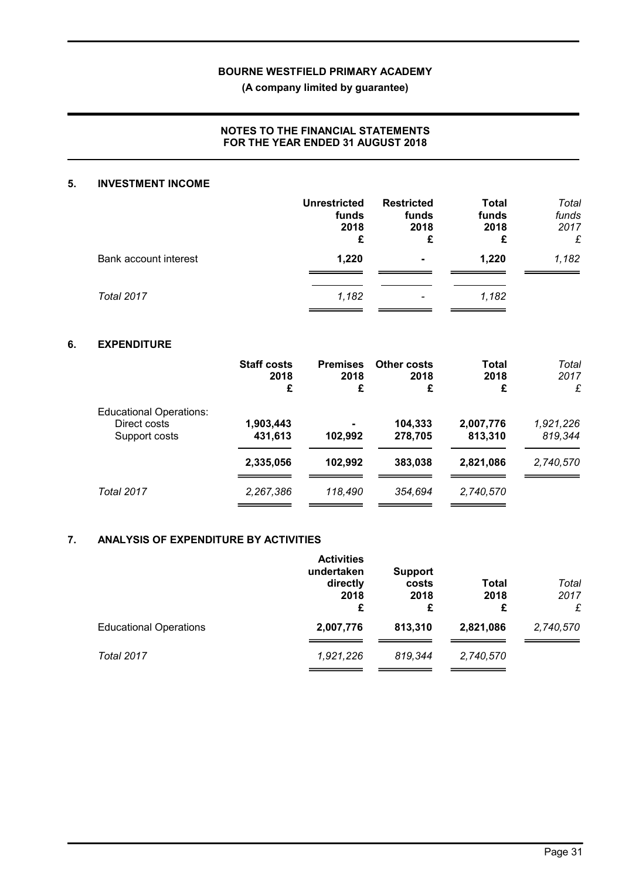(A company limited by guarantee)

### NOTES TO THE FINANCIAL STATEMENTS FOR THE YEAR ENDED 31 AUGUST 2018

### 5. INVESTMENT INCOME

|                       | <b>Unrestricted</b><br>funds<br>2018<br>£ | <b>Restricted</b><br>funds<br>2018<br>£ | <b>Total</b><br>funds<br>2018<br>£ | Total<br>funds<br>2017<br>£ |
|-----------------------|-------------------------------------------|-----------------------------------------|------------------------------------|-----------------------------|
| Bank account interest | 1,220                                     | $\blacksquare$                          | 1.220                              | 1,182                       |
| Total 2017            | 1,182                                     | $\overline{\phantom{0}}$                | 1,182                              |                             |

### 6. EXPENDITURE

|                                                                 | <b>Staff costs</b><br>2018<br>£ | <b>Premises</b><br>2018<br>£ | Other costs<br>2018<br>£ | Total<br>2018<br>£   | Total<br>2017<br>£   |
|-----------------------------------------------------------------|---------------------------------|------------------------------|--------------------------|----------------------|----------------------|
| <b>Educational Operations:</b><br>Direct costs<br>Support costs | 1,903,443<br>431,613            | 102,992                      | 104,333<br>278,705       | 2,007,776<br>813,310 | 1,921,226<br>819,344 |
|                                                                 | 2,335,056                       | 102,992                      | 383,038                  | 2,821,086            | 2,740,570            |
| <b>Total 2017</b>                                               | 2,267,386                       | 118,490                      | 354.694                  | 2,740,570            |                      |

### 7. ANALYSIS OF EXPENDITURE BY ACTIVITIES

|                               | <b>Activities</b><br>undertaken<br>directly<br>2018<br>£ | <b>Support</b><br>costs<br>2018<br>£ | Total<br>2018<br>£ | Total<br>2017<br>£ |
|-------------------------------|----------------------------------------------------------|--------------------------------------|--------------------|--------------------|
| <b>Educational Operations</b> | 2,007,776                                                | 813,310                              | 2,821,086          | 2,740,570          |
| Total 2017                    | 1,921,226                                                | 819,344                              | 2,740,570          |                    |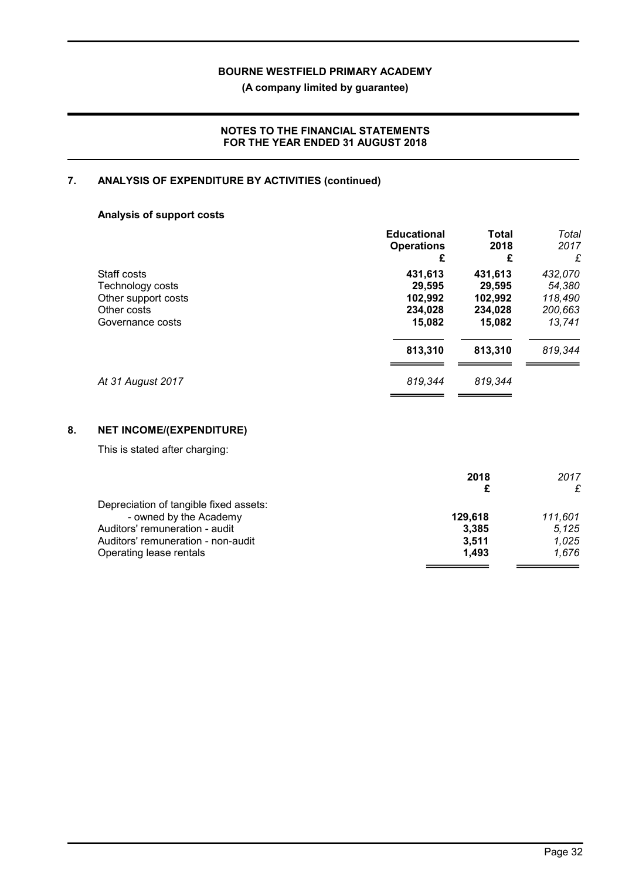(A company limited by guarantee)

### NOTES TO THE FINANCIAL STATEMENTS FOR THE YEAR ENDED 31 AUGUST 2018

# 7. ANALYSIS OF EXPENDITURE BY ACTIVITIES (continued)

# Analysis of support costs

| £       | £       | 2017<br>£                 |
|---------|---------|---------------------------|
| 431,613 | 431,613 | 432,070                   |
| 29,595  | 29,595  | 54,380                    |
| 102,992 | 102,992 | 118,490                   |
| 234,028 | 234,028 | 200,663                   |
| 15,082  | 15,082  | 13,741                    |
| 813,310 | 813,310 | 819,344                   |
| 819,344 | 819,344 |                           |
|         |         | 2018<br><b>Operations</b> |

# 8. NET INCOME/(EXPENDITURE)

This is stated after charging:

|                                        | 2018    | 2017    |
|----------------------------------------|---------|---------|
|                                        |         | £       |
| Depreciation of tangible fixed assets: |         |         |
| - owned by the Academy                 | 129.618 | 111.601 |
| Auditors' remuneration - audit         | 3,385   | 5,125   |
| Auditors' remuneration - non-audit     | 3.511   | 1.025   |
| Operating lease rentals                | 1.493   | 1.676   |
|                                        |         |         |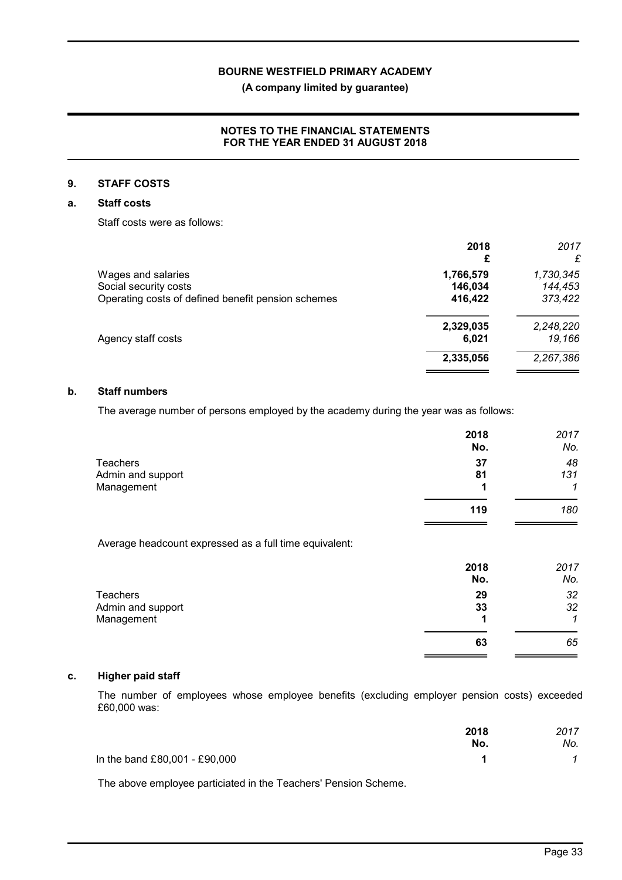(A company limited by guarantee)

### NOTES TO THE FINANCIAL STATEMENTS FOR THE YEAR ENDED 31 AUGUST 2018

### 9. STAFF COSTS

### a. Staff costs

Staff costs were as follows:

| 2018      | 2017      |
|-----------|-----------|
|           | £         |
| 1,766,579 | 1,730,345 |
| 146,034   | 144,453   |
| 416,422   | 373,422   |
| 2,329,035 | 2,248,220 |
| 6,021     | 19,166    |
| 2,335,056 | 2,267,386 |
|           |           |

### b. Staff numbers

The average number of persons employed by the academy during the year was as follows:

|                   | 2018 | 2017 |
|-------------------|------|------|
|                   | No.  | No.  |
| <b>Teachers</b>   | 37   | 48   |
| Admin and support | 81   | 131  |
| Management        |      | 1    |
|                   | 119  | 180  |
|                   |      |      |

Average headcount expressed as a full time equivalent:

| 2017<br>No. |
|-------------|
| 32          |
| 32          |
| ◢           |
| 65          |
|             |

### c. Higher paid staff

The number of employees whose employee benefits (excluding employer pension costs) exceeded £60,000 was:

|                               | 2018 | 2017 |
|-------------------------------|------|------|
|                               | No.  | No.  |
| In the band £80,001 - £90,000 |      |      |

The above employee particiated in the Teachers' Pension Scheme.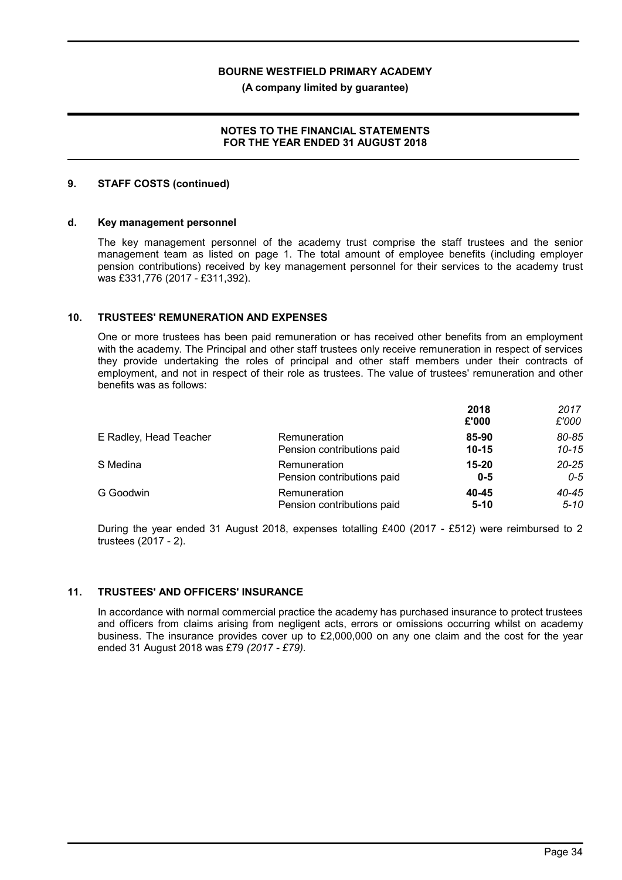(A company limited by guarantee)

### NOTES TO THE FINANCIAL STATEMENTS FOR THE YEAR ENDED 31 AUGUST 2018

### 9. STAFF COSTS (continued)

#### d. Key management personnel

The key management personnel of the academy trust comprise the staff trustees and the senior management team as listed on page 1. The total amount of employee benefits (including employer pension contributions) received by key management personnel for their services to the academy trust was £331,776 (2017 - £311,392).

### 10. TRUSTEES' REMUNERATION AND EXPENSES

One or more trustees has been paid remuneration or has received other benefits from an employment with the academy. The Principal and other staff trustees only receive remuneration in respect of services they provide undertaking the roles of principal and other staff members under their contracts of employment, and not in respect of their role as trustees. The value of trustees' remuneration and other benefits was as follows:

|                        |                            | 2018<br>£'000 | 2017<br>£'000 |
|------------------------|----------------------------|---------------|---------------|
| E Radley, Head Teacher | Remuneration               | 85-90         | 80-85         |
|                        | Pension contributions paid | $10 - 15$     | $10 - 15$     |
| S Medina               | Remuneration               | $15 - 20$     | $20 - 25$     |
|                        | Pension contributions paid | $0 - 5$       | 0-5           |
| G Goodwin              | Remuneration               | 40-45         | 40-45         |
|                        | Pension contributions paid | $5 - 10$      | $5 - 10$      |

During the year ended 31 August 2018, expenses totalling £400 (2017 - £512) were reimbursed to 2 trustees (2017 - 2).

# 11. TRUSTEES' AND OFFICERS' INSURANCE

In accordance with normal commercial practice the academy has purchased insurance to protect trustees and officers from claims arising from negligent acts, errors or omissions occurring whilst on academy business. The insurance provides cover up to £2,000,000 on any one claim and the cost for the year ended 31 August 2018 was £79 (2017 - £79).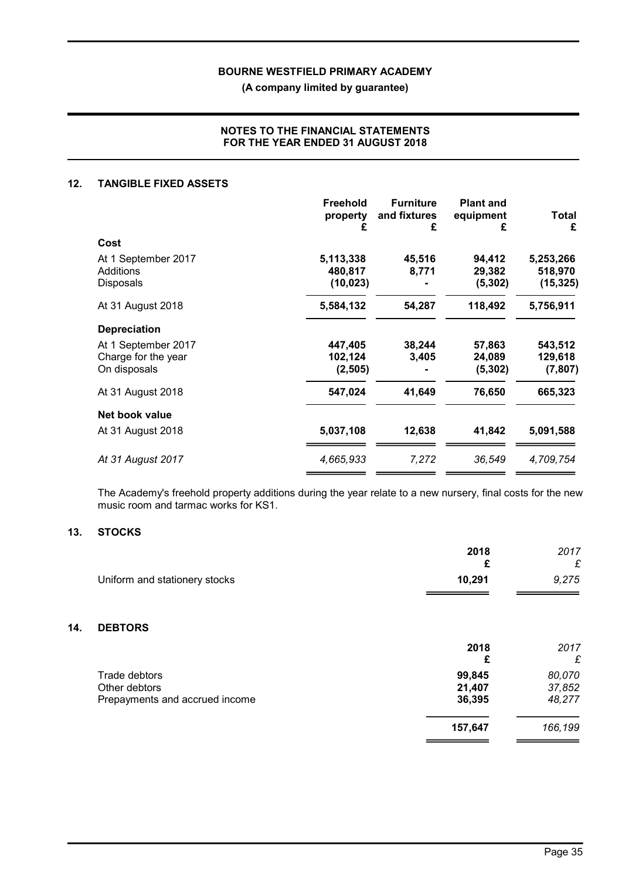(A company limited by guarantee)

### NOTES TO THE FINANCIAL STATEMENTS FOR THE YEAR ENDED 31 AUGUST 2018

### 12. TANGIBLE FIXED ASSETS

|                     | <b>Freehold</b><br>property<br>£ | <b>Furniture</b><br>and fixtures<br>£ | <b>Plant and</b><br>equipment<br>£ | <b>Total</b><br>£ |
|---------------------|----------------------------------|---------------------------------------|------------------------------------|-------------------|
| Cost                |                                  |                                       |                                    |                   |
| At 1 September 2017 | 5,113,338                        | 45,516                                | 94,412                             | 5,253,266         |
| Additions           | 480,817                          | 8,771                                 | 29,382                             | 518,970           |
| Disposals           | (10, 023)                        |                                       | (5, 302)                           | (15, 325)         |
| At 31 August 2018   | 5,584,132                        | 54,287                                | 118,492                            | 5,756,911         |
| <b>Depreciation</b> |                                  |                                       |                                    |                   |
| At 1 September 2017 | 447,405                          | 38,244                                | 57,863                             | 543,512           |
| Charge for the year | 102,124                          | 3,405                                 | 24,089                             | 129,618           |
| On disposals        | (2, 505)                         |                                       | (5, 302)                           | (7, 807)          |
| At 31 August 2018   | 547,024                          | 41,649                                | 76,650                             | 665,323           |
| Net book value      |                                  |                                       |                                    |                   |
| At 31 August 2018   | 5,037,108                        | 12,638                                | 41,842                             | 5,091,588         |
| At 31 August 2017   | 4,665,933                        | 7,272                                 | 36,549                             | 4,709,754         |
|                     |                                  |                                       |                                    |                   |

The Academy's freehold property additions during the year relate to a new nursery, final costs for the new music room and tarmac works for KS1.

### 13. STOCKS

 $14.$ 

|                                | 2018<br>£ | 2017<br>£ |
|--------------------------------|-----------|-----------|
| Uniform and stationery stocks  | 10,291    | 9,275     |
|                                |           |           |
| <b>DEBTORS</b>                 |           |           |
|                                | 2018      | 2017      |
|                                | £         | £         |
| Trade debtors                  | 99,845    | 80,070    |
| Other debtors                  | 21,407    | 37,852    |
| Prepayments and accrued income | 36,395    | 48,277    |
|                                | 157,647   | 166,199   |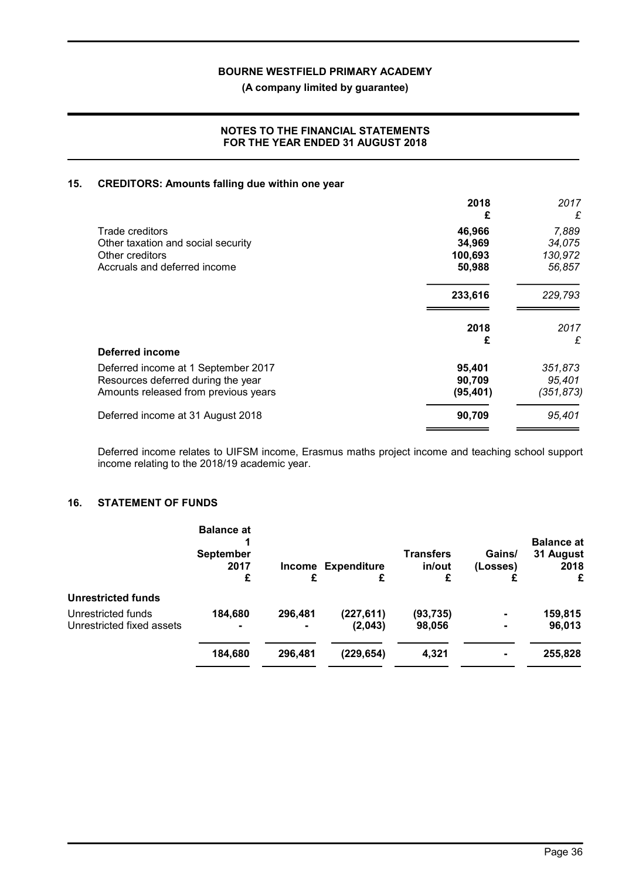(A company limited by guarantee)

### NOTES TO THE FINANCIAL STATEMENTS FOR THE YEAR ENDED 31 AUGUST 2018

### 15. CREDITORS: Amounts falling due within one year

|                                      | 2018<br>£ | 2017<br>£  |
|--------------------------------------|-----------|------------|
| Trade creditors                      | 46,966    | 7,889      |
| Other taxation and social security   | 34,969    | 34,075     |
| Other creditors                      | 100,693   | 130,972    |
| Accruals and deferred income         | 50,988    | 56,857     |
|                                      | 233,616   | 229,793    |
|                                      | 2018      | 2017       |
|                                      | £         | £          |
| <b>Deferred income</b>               |           |            |
| Deferred income at 1 September 2017  | 95,401    | 351,873    |
| Resources deferred during the year   | 90,709    | 95,401     |
| Amounts released from previous years | (95, 401) | (351, 873) |
| Deferred income at 31 August 2018    | 90,709    | 95,401     |
|                                      |           |            |

Deferred income relates to UIFSM income, Erasmus maths project income and teaching school support income relating to the 2018/19 academic year.

# 16. STATEMENT OF FUNDS

|                           | <b>Balance at</b><br><b>September</b><br>2017 | Income         | <b>Expenditure</b> | <b>Transfers</b><br>in/out | Gains/<br>(Losses) | <b>Balance at</b><br>31 August<br>2018 |
|---------------------------|-----------------------------------------------|----------------|--------------------|----------------------------|--------------------|----------------------------------------|
|                           | £                                             | £              | £                  | £                          |                    | £                                      |
| <b>Unrestricted funds</b> |                                               |                |                    |                            |                    |                                        |
| Unrestricted funds        | 184,680                                       | 296,481        | (227, 611)         | (93,735)                   | $\blacksquare$     | 159,815                                |
| Unrestricted fixed assets |                                               | $\blacksquare$ | (2,043)            | 98,056                     | $\blacksquare$     | 96,013                                 |
|                           | 184,680                                       | 296,481        | (229, 654)         | 4,321                      | $\blacksquare$     | 255,828                                |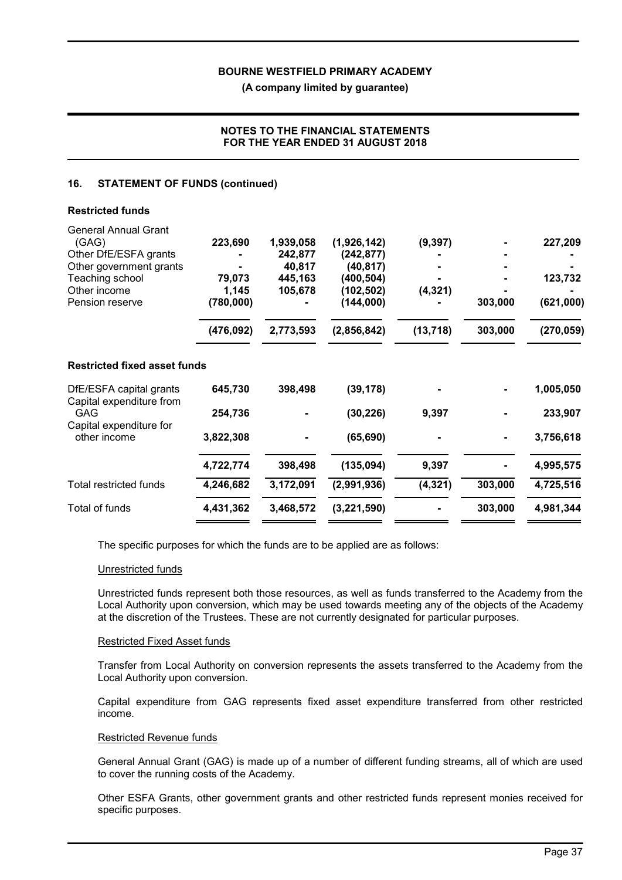(A company limited by guarantee)

### NOTES TO THE FINANCIAL STATEMENTS FOR THE YEAR ENDED 31 AUGUST 2018

### 16. STATEMENT OF FUNDS (continued)

| 223,690<br>79,073<br>1,145<br>(780,000) | 1,939,058<br>242,877<br>40,817<br>445,163<br>105,678 | (1,926,142)<br>(242, 877)<br>(40, 817)<br>(400, 504)<br>(102, 502)<br>(144,000) | (9, 397)<br>(4, 321) | 303,000 | 227,209<br>123,732<br>(621,000) |
|-----------------------------------------|------------------------------------------------------|---------------------------------------------------------------------------------|----------------------|---------|---------------------------------|
| (476, 092)                              | 2,773,593                                            | (2,856,842)                                                                     | (13, 718)            | 303,000 | (270, 059)                      |
|                                         |                                                      |                                                                                 |                      |         |                                 |
| 645,730                                 | 398,498                                              | (39, 178)                                                                       |                      |         | 1,005,050                       |
| 254,736                                 |                                                      | (30, 226)                                                                       | 9,397                |         | 233,907                         |
| 3,822,308                               |                                                      | (65, 690)                                                                       |                      |         | 3,756,618                       |
| 4,722,774                               | 398,498                                              | (135, 094)                                                                      | 9,397                |         | 4,995,575                       |
| 4,246,682                               | 3,172,091                                            | (2,991,936)                                                                     | (4, 321)             | 303,000 | 4,725,516                       |
| 4,431,362                               | 3,468,572                                            | (3,221,590)                                                                     |                      | 303,000 | 4,981,344                       |
|                                         | <b>Restricted fixed asset funds</b>                  |                                                                                 |                      |         |                                 |

The specific purposes for which the funds are to be applied are as follows:

### Unrestricted funds

Unrestricted funds represent both those resources, as well as funds transferred to the Academy from the Local Authority upon conversion, which may be used towards meeting any of the objects of the Academy at the discretion of the Trustees. These are not currently designated for particular purposes.

#### Restricted Fixed Asset funds

Transfer from Local Authority on conversion represents the assets transferred to the Academy from the Local Authority upon conversion.

Capital expenditure from GAG represents fixed asset expenditure transferred from other restricted income.

### Restricted Revenue funds

General Annual Grant (GAG) is made up of a number of different funding streams, all of which are used to cover the running costs of the Academy.

Other ESFA Grants, other government grants and other restricted funds represent monies received for specific purposes.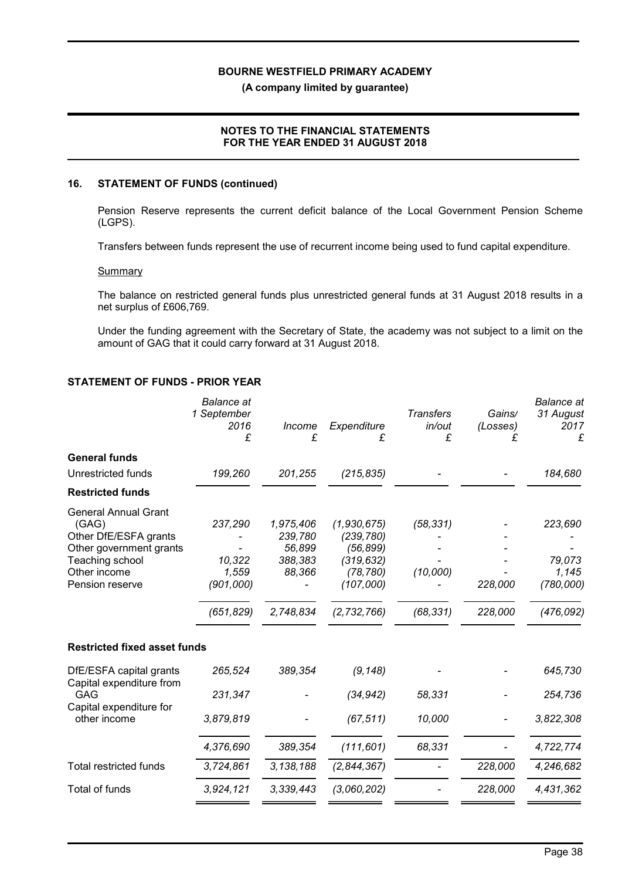(A company limited by guarantee)

### NOTES TO THE FINANCIAL STATEMENTS FOR THE YEAR ENDED 31 AUGUST 2018

#### 16. STATEMENT OF FUNDS (continued)

Pension Reserve represents the current deficit balance of the Local Government Pension Scheme (LGPS).

Transfers between funds represent the use of recurrent income being used to fund capital expenditure.

#### **Summary**

The balance on restricted general funds plus unrestricted general funds at 31 August 2018 results in a net surplus of £606,769.

Under the funding agreement with the Secretary of State, the academy was not subject to a limit on the amount of GAG that it could carry forward at 31 August 2018.

### STATEMENT OF FUNDS - PRIOR YEAR

|                                                                                                                                                | <b>Balance</b> at<br>1 September<br>2016<br>£         | Income<br>£                                                      | Expenditure<br>£                                                                              | <b>Transfers</b><br>in/out<br>£    | Gains/<br>(Losses)<br>£ | <b>Balance</b> at<br>31 August<br>2017<br>£           |
|------------------------------------------------------------------------------------------------------------------------------------------------|-------------------------------------------------------|------------------------------------------------------------------|-----------------------------------------------------------------------------------------------|------------------------------------|-------------------------|-------------------------------------------------------|
| <b>General funds</b>                                                                                                                           |                                                       |                                                                  |                                                                                               |                                    |                         |                                                       |
| Unrestricted funds                                                                                                                             | 199,260                                               | 201,255                                                          | (215, 835)                                                                                    |                                    |                         | 184,680                                               |
| <b>Restricted funds</b>                                                                                                                        |                                                       |                                                                  |                                                                                               |                                    |                         |                                                       |
| <b>General Annual Grant</b><br>(GAG)<br>Other DfE/ESFA grants<br>Other government grants<br>Teaching school<br>Other income<br>Pension reserve | 237,290<br>10,322<br>1,559<br>(901,000)<br>(651, 829) | 1,975,406<br>239,780<br>56,899<br>388,383<br>88,366<br>2,748,834 | (1,930,675)<br>(239, 780)<br>(56, 899)<br>(319, 632)<br>(78, 780)<br>(107,000)<br>(2,732,766) | (58, 331)<br>(10,000)<br>(68, 331) | 228,000<br>228,000      | 223,690<br>79,073<br>1,145<br>(780,000)<br>(476, 092) |
| <b>Restricted fixed asset funds</b>                                                                                                            |                                                       |                                                                  |                                                                                               |                                    |                         |                                                       |
| DfE/ESFA capital grants<br>Capital expenditure from                                                                                            | 265,524                                               | 389,354                                                          | (9, 148)                                                                                      |                                    |                         | 645,730                                               |
| <b>GAG</b>                                                                                                                                     | 231,347                                               |                                                                  | (34, 942)                                                                                     | 58,331                             |                         | 254,736                                               |
| Capital expenditure for<br>other income                                                                                                        | 3,879,819                                             |                                                                  | (67, 511)                                                                                     | 10,000                             |                         | 3,822,308                                             |
|                                                                                                                                                | 4,376,690                                             | 389,354                                                          | (111, 601)                                                                                    | 68,331                             |                         | 4,722,774                                             |
| Total restricted funds                                                                                                                         | 3,724,861                                             | 3, 138, 188                                                      | (2,844,367)                                                                                   |                                    | 228,000                 | 4,246,682                                             |
| <b>Total of funds</b>                                                                                                                          | 3,924,121                                             | 3,339,443                                                        | (3,060,202)                                                                                   |                                    | 228,000                 | 4,431,362                                             |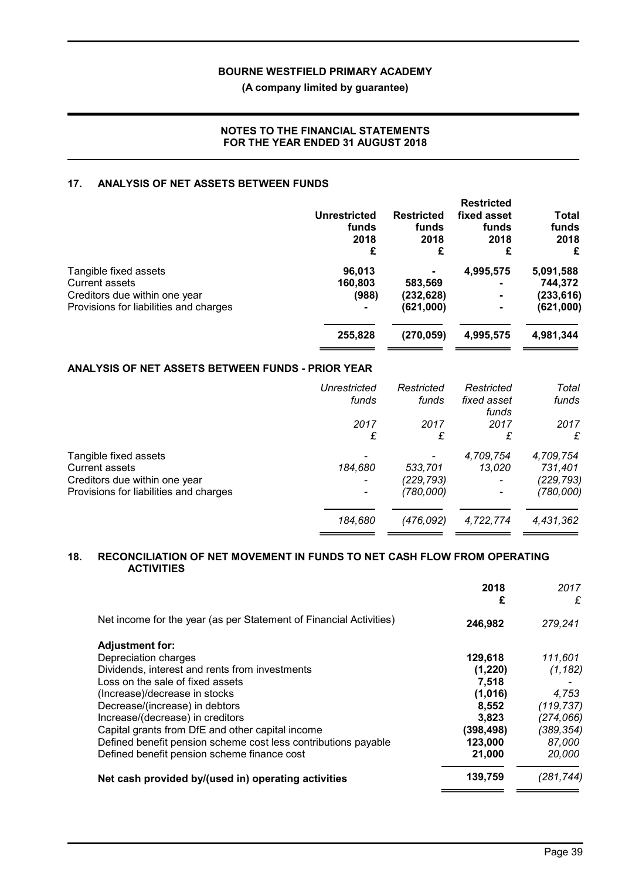### (A company limited by guarantee)

### NOTES TO THE FINANCIAL STATEMENTS FOR THE YEAR ENDED 31 AUGUST 2018

### 17. ANALYSIS OF NET ASSETS BETWEEN FUNDS

|                                        | Unrestricted<br>funds<br>2018<br>£ | <b>Restricted</b><br>funds<br>2018<br>£ | <b>Restricted</b><br>fixed asset<br>funds<br>2018<br>£ | Total<br>funds<br>2018<br>£ |
|----------------------------------------|------------------------------------|-----------------------------------------|--------------------------------------------------------|-----------------------------|
| Tangible fixed assets                  | 96,013                             |                                         | 4,995,575                                              | 5,091,588                   |
| <b>Current assets</b>                  | 160,803                            | 583,569                                 | $\blacksquare$                                         | 744,372                     |
| Creditors due within one year          | (988)                              | (232, 628)                              |                                                        | (233, 616)                  |
| Provisions for liabilities and charges | $\blacksquare$                     | (621,000)                               |                                                        | (621,000)                   |
|                                        | 255,828                            | (270, 059)                              | 4,995,575                                              | 4,981,344                   |
|                                        |                                    |                                         |                                                        |                             |

# ANALYSIS OF NET ASSETS BETWEEN FUNDS - PRIOR YEAR

|                                        | Unrestricted | Restricted | Restricted           | Total     |
|----------------------------------------|--------------|------------|----------------------|-----------|
|                                        | funds        | funds      | fixed asset<br>funds | funds     |
|                                        | 2017         | 2017       | 2017                 | 2017      |
|                                        | £            | £          | £                    | £         |
| Tangible fixed assets                  |              |            | 4,709,754            | 4,709,754 |
| <b>Current assets</b>                  | 184,680      | 533,701    | 13,020               | 731,401   |
| Creditors due within one year          |              | (229,793)  |                      | (229,793) |
| Provisions for liabilities and charges |              | (780,000)  |                      | (780,000) |
|                                        | 184,680      | (476,092)  | 4,722,774            | 4,431,362 |
|                                        |              |            |                      |           |

### 18. RECONCILIATION OF NET MOVEMENT IN FUNDS TO NET CASH FLOW FROM OPERATING **ACTIVITIES**

|                                                                    | 2018<br>£  | 2017<br>£  |
|--------------------------------------------------------------------|------------|------------|
| Net income for the year (as per Statement of Financial Activities) | 246,982    | 279,241    |
| <b>Adjustment for:</b>                                             |            |            |
| Depreciation charges                                               | 129,618    | 111,601    |
| Dividends, interest and rents from investments                     | (1,220)    | (1, 182)   |
| Loss on the sale of fixed assets                                   | 7.518      |            |
| (Increase)/decrease in stocks                                      | (1,016)    | 4,753      |
| Decrease/(increase) in debtors                                     | 8,552      | (119, 737) |
| Increase/(decrease) in creditors                                   | 3.823      | (274,066)  |
| Capital grants from DfE and other capital income                   | (398, 498) | (389,354)  |
| Defined benefit pension scheme cost less contributions payable     | 123,000    | 87,000     |
| Defined benefit pension scheme finance cost                        | 21,000     | 20,000     |
| Net cash provided by/(used in) operating activities                | 139,759    | (281,744)  |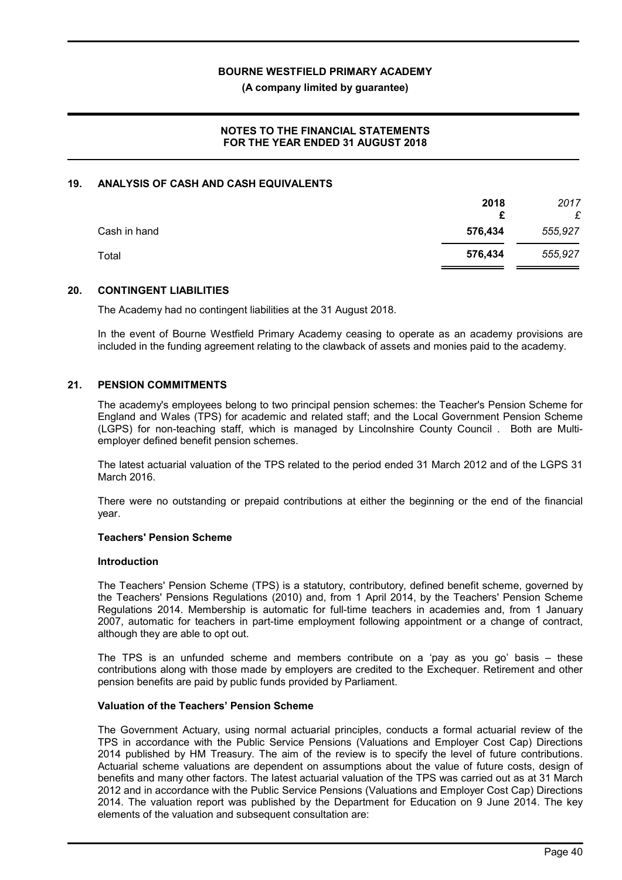(A company limited by guarantee)

### NOTES TO THE FINANCIAL STATEMENTS FOR THE YEAR ENDED 31 AUGUST 2018

### 19. ANALYSIS OF CASH AND CASH EQUIVALENTS

|              | 2018<br>£ | 2017<br>£ |
|--------------|-----------|-----------|
| Cash in hand | 576,434   | 555,927   |
| Total        | 576,434   | 555,927   |

#### 20. CONTINGENT LIABILITIES

The Academy had no contingent liabilities at the 31 August 2018.

In the event of Bourne Westfield Primary Academy ceasing to operate as an academy provisions are included in the funding agreement relating to the clawback of assets and monies paid to the academy.

#### 21. PENSION COMMITMENTS

The academy's employees belong to two principal pension schemes: the Teacher's Pension Scheme for England and Wales (TPS) for academic and related staff; and the Local Government Pension Scheme (LGPS) for non-teaching staff, which is managed by Lincolnshire County Council . Both are Multiemployer defined benefit pension schemes.

The latest actuarial valuation of the TPS related to the period ended 31 March 2012 and of the LGPS 31 March 2016.

There were no outstanding or prepaid contributions at either the beginning or the end of the financial year.

#### Teachers' Pension Scheme

#### Introduction

The Teachers' Pension Scheme (TPS) is a statutory, contributory, defined benefit scheme, governed by the Teachers' Pensions Regulations (2010) and, from 1 April 2014, by the Teachers' Pension Scheme Regulations 2014. Membership is automatic for full-time teachers in academies and, from 1 January 2007, automatic for teachers in part-time employment following appointment or a change of contract, although they are able to opt out.

The TPS is an unfunded scheme and members contribute on a 'pay as you go' basis – these contributions along with those made by employers are credited to the Exchequer. Retirement and other pension benefits are paid by public funds provided by Parliament.

#### Valuation of the Teachers' Pension Scheme

The Government Actuary, using normal actuarial principles, conducts a formal actuarial review of the TPS in accordance with the Public Service Pensions (Valuations and Employer Cost Cap) Directions 2014 published by HM Treasury. The aim of the review is to specify the level of future contributions. Actuarial scheme valuations are dependent on assumptions about the value of future costs, design of benefits and many other factors. The latest actuarial valuation of the TPS was carried out as at 31 March 2012 and in accordance with the Public Service Pensions (Valuations and Employer Cost Cap) Directions 2014. The valuation report was published by the Department for Education on 9 June 2014. The key elements of the valuation and subsequent consultation are: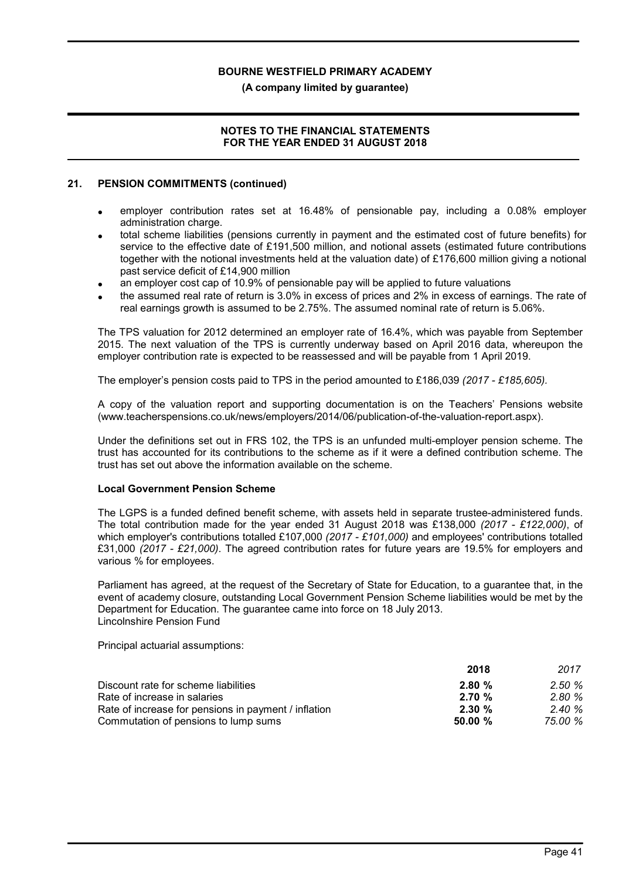(A company limited by guarantee)

### NOTES TO THE FINANCIAL STATEMENTS FOR THE YEAR ENDED 31 AUGUST 2018

### 21. PENSION COMMITMENTS (continued)

- employer contribution rates set at 16.48% of pensionable pay, including a 0.08% employer administration charge.
- total scheme liabilities (pensions currently in payment and the estimated cost of future benefits) for service to the effective date of £191,500 million, and notional assets (estimated future contributions together with the notional investments held at the valuation date) of £176,600 million giving a notional past service deficit of £14,900 million
- an employer cost cap of 10.9% of pensionable pay will be applied to future valuations
- the assumed real rate of return is 3.0% in excess of prices and 2% in excess of earnings. The rate of real earnings growth is assumed to be 2.75%. The assumed nominal rate of return is 5.06%.

The TPS valuation for 2012 determined an employer rate of 16.4%, which was payable from September 2015. The next valuation of the TPS is currently underway based on April 2016 data, whereupon the employer contribution rate is expected to be reassessed and will be payable from 1 April 2019.

The employer's pension costs paid to TPS in the period amounted to £186,039 (2017 - £185,605).

A copy of the valuation report and supporting documentation is on the Teachers' Pensions website (www.teacherspensions.co.uk/news/employers/2014/06/publication-of-the-valuation-report.aspx).

Under the definitions set out in FRS 102, the TPS is an unfunded multi-employer pension scheme. The trust has accounted for its contributions to the scheme as if it were a defined contribution scheme. The trust has set out above the information available on the scheme.

#### Local Government Pension Scheme

The LGPS is a funded defined benefit scheme, with assets held in separate trustee-administered funds. The total contribution made for the year ended 31 August 2018 was £138,000 (2017 - £122,000), of which employer's contributions totalled £107,000 (2017 - £101,000) and employees' contributions totalled £31,000 (2017 - £21,000). The agreed contribution rates for future years are 19.5% for employers and various % for employees.

Parliament has agreed, at the request of the Secretary of State for Education, to a guarantee that, in the event of academy closure, outstanding Local Government Pension Scheme liabilities would be met by the Department for Education. The guarantee came into force on 18 July 2013. Lincolnshire Pension Fund

Principal actuarial assumptions:

|                                                      | 2018      | 2017    |
|------------------------------------------------------|-----------|---------|
| Discount rate for scheme liabilities                 | 2.80%     | 2.50%   |
| Rate of increase in salaries                         | 2.70%     | 2.80%   |
| Rate of increase for pensions in payment / inflation | $2.30 \%$ | 2.40%   |
| Commutation of pensions to lump sums                 | 50.00%    | 75.00 % |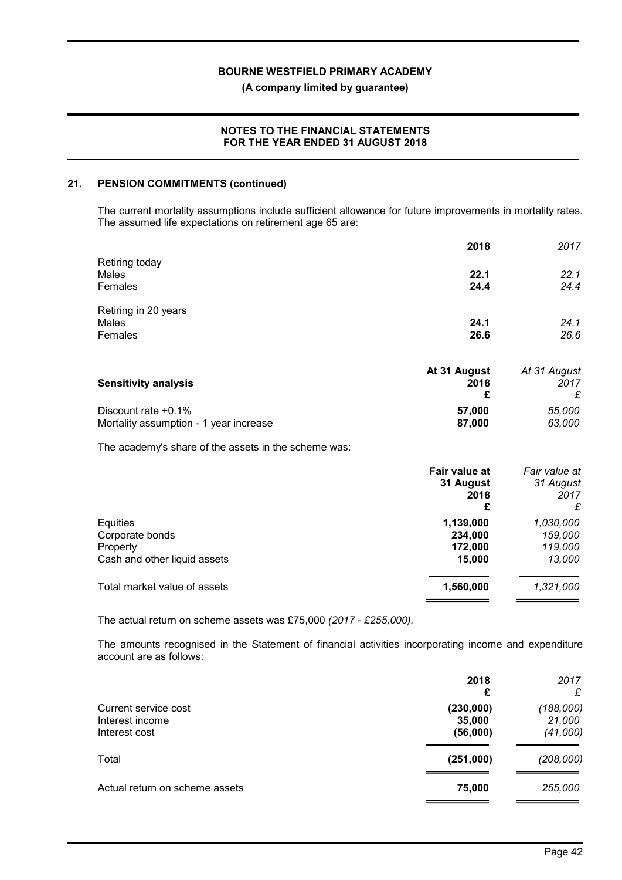(A company limited by guarantee)

### NOTES TO THE FINANCIAL STATEMENTS FOR THE YEAR ENDED 31 AUGUST 2018

#### 21. PENSION COMMITMENTS (continued)

The current mortality assumptions include sufficient allowance for future improvements in mortality rates. The assumed life expectations on retirement age 65 are:

|                                                               | 2018                                    | 2017                                    |
|---------------------------------------------------------------|-----------------------------------------|-----------------------------------------|
| Retiring today<br>Males<br>Females                            | 22.1<br>24.4                            | 22.1<br>24.4                            |
| Retiring in 20 years<br>Males<br>Females                      | 24.1<br>26.6                            | 24.1<br>26.6                            |
| <b>Sensitivity analysis</b>                                   | At 31 August<br>2018<br>£               | At 31 August<br>2017<br>£               |
| Discount rate +0.1%<br>Mortality assumption - 1 year increase | 57,000<br>87,000                        | 55,000<br>63,000                        |
| The academy's share of the assets in the scheme was:          |                                         |                                         |
|                                                               | Fair value at<br>31 August<br>2018<br>£ | Fair value at<br>31 August<br>2017<br>£ |
| $E$ auition                                                   | 1.120.000                               | u non nnn                               |

| 1,139,000 | 1,030,000                    |
|-----------|------------------------------|
|           | 159,000                      |
|           | 119,000                      |
|           | 13.000                       |
| 1,560,000 | 1,321,000                    |
|           | 234.000<br>172.000<br>15.000 |

The actual return on scheme assets was £75,000 (2017 - £255,000).

The amounts recognised in the Statement of financial activities incorporating income and expenditure account are as follows:

|                                                          | 2018<br>£                       | 2017<br>£                       |
|----------------------------------------------------------|---------------------------------|---------------------------------|
| Current service cost<br>Interest income<br>Interest cost | (230,000)<br>35,000<br>(56,000) | (188,000)<br>21,000<br>(41,000) |
| Total                                                    | (251,000)                       | (208,000)                       |
| Actual return on scheme assets                           | 75,000                          | 255,000                         |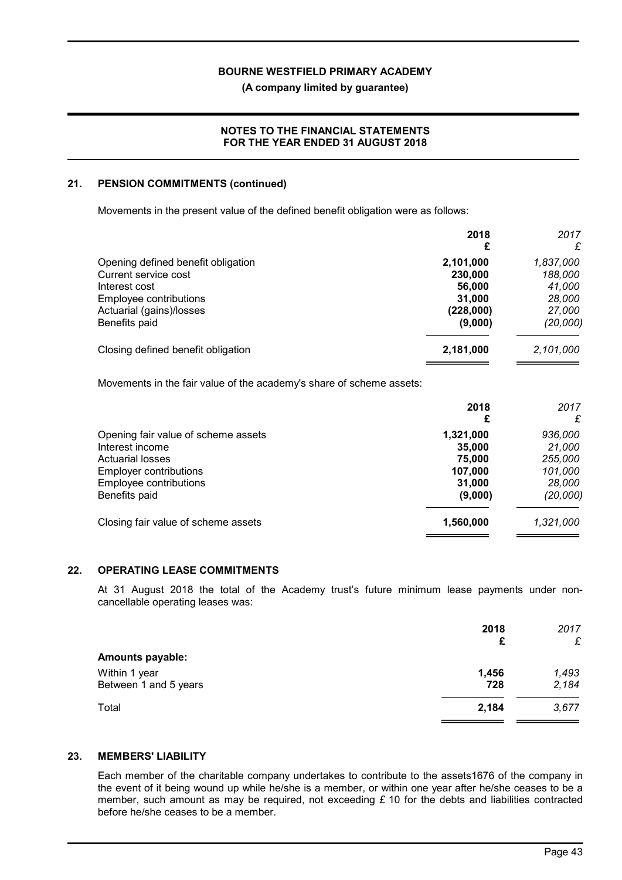(A company limited by guarantee)

### NOTES TO THE FINANCIAL STATEMENTS FOR THE YEAR ENDED 31 AUGUST 2018

### 21. PENSION COMMITMENTS (continued)

Movements in the present value of the defined benefit obligation were as follows:

|                                    | 2018<br>£ | 2017<br>£ |
|------------------------------------|-----------|-----------|
| Opening defined benefit obligation | 2,101,000 | 1,837,000 |
| Current service cost               | 230,000   | 188,000   |
| Interest cost                      | 56,000    | 41,000    |
| Employee contributions             | 31,000    | 28,000    |
| Actuarial (gains)/losses           | (228,000) | 27,000    |
| Benefits paid                      | (9,000)   | (20,000)  |
| Closing defined benefit obligation | 2,181,000 | 2,101,000 |
|                                    |           |           |

Movements in the fair value of the academy's share of scheme assets:

|                                     | 2018<br>£ | 2017<br>£ |
|-------------------------------------|-----------|-----------|
| Opening fair value of scheme assets | 1,321,000 | 936,000   |
| Interest income                     | 35,000    | 21,000    |
| <b>Actuarial losses</b>             | 75,000    | 255,000   |
| <b>Employer contributions</b>       | 107,000   | 101,000   |
| Employee contributions              | 31,000    | 28,000    |
| Benefits paid                       | (9,000)   | (20,000)  |
| Closing fair value of scheme assets | 1,560,000 | 1,321,000 |
|                                     |           |           |

### 22. OPERATING LEASE COMMITMENTS

At 31 August 2018 the total of the Academy trust's future minimum lease payments under noncancellable operating leases was:

|                                        | 2018<br>£    | 2017<br>£      |
|----------------------------------------|--------------|----------------|
| <b>Amounts payable:</b>                |              |                |
| Within 1 year<br>Between 1 and 5 years | 1,456<br>728 | 1,493<br>2,184 |
| Total                                  | 2,184        | 3,677          |

### 23. MEMBERS' LIABILITY

Each member of the charitable company undertakes to contribute to the assets1676 of the company in the event of it being wound up while he/she is a member, or within one year after he/she ceases to be a member, such amount as may be required, not exceeding  $\pounds$  10 for the debts and liabilities contracted before he/she ceases to be a member.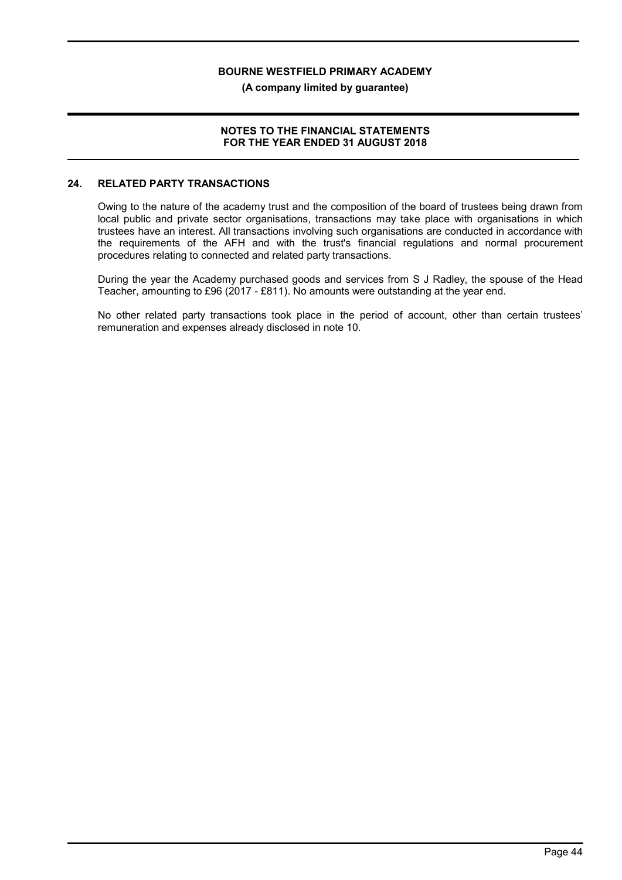(A company limited by guarantee)

### NOTES TO THE FINANCIAL STATEMENTS FOR THE YEAR ENDED 31 AUGUST 2018

### 24. RELATED PARTY TRANSACTIONS

Owing to the nature of the academy trust and the composition of the board of trustees being drawn from local public and private sector organisations, transactions may take place with organisations in which trustees have an interest. All transactions involving such organisations are conducted in accordance with the requirements of the AFH and with the trust's financial regulations and normal procurement procedures relating to connected and related party transactions.

During the year the Academy purchased goods and services from S J Radley, the spouse of the Head Teacher, amounting to £96 (2017 - £811). No amounts were outstanding at the year end.

No other related party transactions took place in the period of account, other than certain trustees' remuneration and expenses already disclosed in note 10.